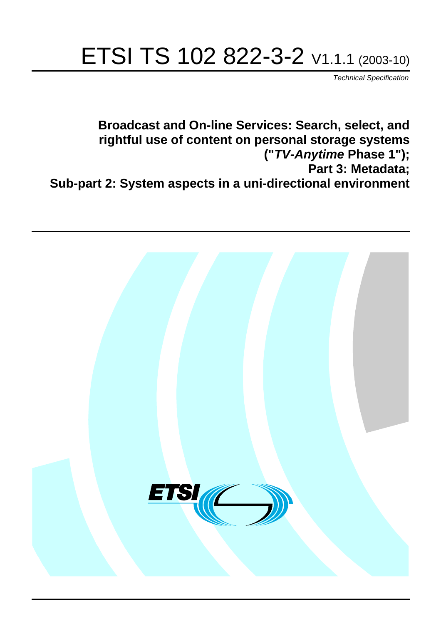# ETSI TS 102 822-3-2 V1.1.1 (2003-10)

Technical Specification

**Broadcast and On-line Services: Search, select, and rightful use of content on personal storage systems ("TV-Anytime Phase 1"); Part 3: Metadata; Sub-part 2: System aspects in a uni-directional environment**

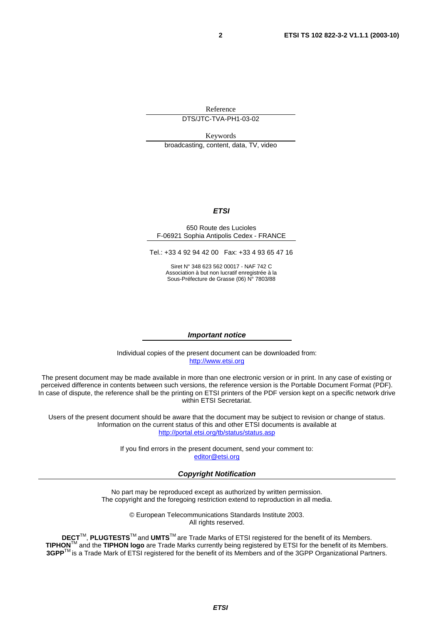Reference

DTS/JTC-TVA-PH1-03-02

Keywords

broadcasting, content, data, TV, video

#### **ETSI**

#### 650 Route des Lucioles F-06921 Sophia Antipolis Cedex - FRANCE

Tel.: +33 4 92 94 42 00 Fax: +33 4 93 65 47 16

Siret N° 348 623 562 00017 - NAF 742 C Association à but non lucratif enregistrée à la Sous-Préfecture de Grasse (06) N° 7803/88

#### **Important notice**

Individual copies of the present document can be downloaded from: [http://www.etsi.org](http://www.etsi.org/)

The present document may be made available in more than one electronic version or in print. In any case of existing or perceived difference in contents between such versions, the reference version is the Portable Document Format (PDF). In case of dispute, the reference shall be the printing on ETSI printers of the PDF version kept on a specific network drive within ETSI Secretariat.

Users of the present document should be aware that the document may be subject to revision or change of status. Information on the current status of this and other ETSI documents is available at <http://portal.etsi.org/tb/status/status.asp>

> If you find errors in the present document, send your comment to: [editor@etsi.org](mailto:editor@etsi.org)

#### **Copyright Notification**

No part may be reproduced except as authorized by written permission. The copyright and the foregoing restriction extend to reproduction in all media.

> © European Telecommunications Standards Institute 2003. All rights reserved.

**DECT**TM, **PLUGTESTS**TM and **UMTS**TM are Trade Marks of ETSI registered for the benefit of its Members. **TIPHON**TM and the **TIPHON logo** are Trade Marks currently being registered by ETSI for the benefit of its Members. **3GPP**TM is a Trade Mark of ETSI registered for the benefit of its Members and of the 3GPP Organizational Partners.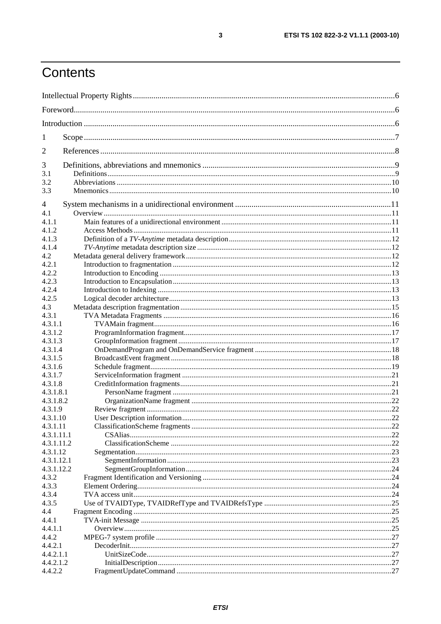# Contents

| 1                    |  |  |
|----------------------|--|--|
| 2                    |  |  |
| 3                    |  |  |
| 3.1                  |  |  |
| 3.2                  |  |  |
| 3.3                  |  |  |
| 4                    |  |  |
| 4.1                  |  |  |
| 4.1.1                |  |  |
| 4.1.2                |  |  |
| 4.1.3                |  |  |
| 4.1.4                |  |  |
| 4.2                  |  |  |
| 4.2.1                |  |  |
| 4.2.2                |  |  |
| 4.2.3                |  |  |
| 4.2.4                |  |  |
| 4.2.5                |  |  |
| 4.3                  |  |  |
| 4.3.1                |  |  |
| 4.3.1.1              |  |  |
| 4.3.1.2              |  |  |
| 4.3.1.3              |  |  |
| 4.3.1.4              |  |  |
| 4.3.1.5              |  |  |
| 4.3.1.6              |  |  |
| 4.3.1.7              |  |  |
| 4.3.1.8<br>4.3.1.8.1 |  |  |
| 4.3.1.8.2            |  |  |
| 4.3.1.9              |  |  |
| 4.3.1.10             |  |  |
| 4.3.1.11             |  |  |
| 4.3.1.11.1           |  |  |
| 4.3.1.11.2           |  |  |
| 4.3.1.12             |  |  |
| 4.3.1.12.1           |  |  |
| 4.3.1.12.2           |  |  |
| 4.3.2                |  |  |
| 4.3.3                |  |  |
| 4.3.4                |  |  |
| 4.3.5                |  |  |
| 4.4                  |  |  |
| 4.4.1                |  |  |
| 4.4.1.1              |  |  |
| 4.4.2                |  |  |
| 4.4.2.1              |  |  |
| 4.4.2.1.1            |  |  |
| 4.4.2.1.2            |  |  |
| 4.4.2.2              |  |  |

 $\mathbf{3}$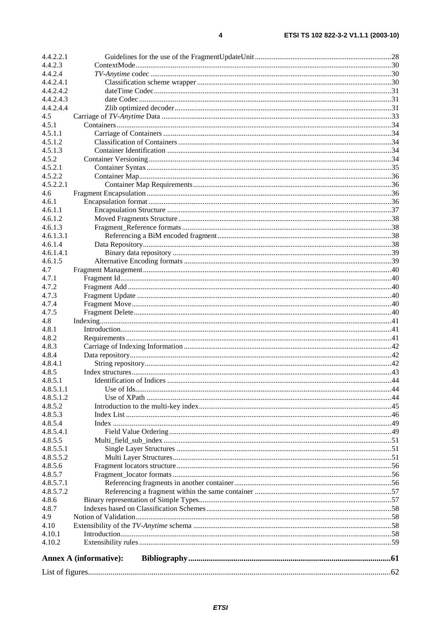| 4.4.2.2.1 |                               |  |
|-----------|-------------------------------|--|
| 4.4.2.3   |                               |  |
| 4.4.2.4   |                               |  |
| 4.4.2.4.1 |                               |  |
| 4.4.2.4.2 |                               |  |
| 4.4.2.4.3 |                               |  |
| 4.4.2.4.4 |                               |  |
| 4.5       |                               |  |
| 4.5.1     |                               |  |
| 4.5.1.1   |                               |  |
| 4.5.1.2   |                               |  |
| 4.5.1.3   |                               |  |
| 4.5.2     |                               |  |
| 4.5.2.1   |                               |  |
| 4.5.2.2   |                               |  |
| 4.5.2.2.1 |                               |  |
| 4.6       |                               |  |
| 4.6.1     |                               |  |
| 4.6.1.1   |                               |  |
| 4.6.1.2   |                               |  |
| 4.6.1.3   |                               |  |
| 4.6.1.3.1 |                               |  |
| 4.6.1.4   |                               |  |
| 4.6.1.4.1 |                               |  |
| 4.6.1.5   |                               |  |
| 4.7       |                               |  |
| 4.7.1     |                               |  |
| 4.7.2     |                               |  |
| 4.7.3     |                               |  |
| 4.7.4     |                               |  |
| 4.7.5     |                               |  |
| 4.8       |                               |  |
| 4.8.1     |                               |  |
| 4.8.2     |                               |  |
| 4.8.3     |                               |  |
| 4.8.4     |                               |  |
| 4.8.4.1   |                               |  |
| 4.8.5     |                               |  |
| 4.8.5.1   |                               |  |
| 4.8.5.1.1 |                               |  |
| 4.8.5.1.2 |                               |  |
| 4.8.5.2   |                               |  |
| 4.8.5.3   |                               |  |
| 4.8.5.4   |                               |  |
| 4.8.5.4.1 |                               |  |
| 4.8.5.5   |                               |  |
| 4.8.5.5.1 |                               |  |
| 4.8.5.5.2 |                               |  |
| 4.8.5.6   |                               |  |
| 4.8.5.7   |                               |  |
| 4.8.5.7.1 |                               |  |
| 4.8.5.7.2 |                               |  |
| 4.8.6     |                               |  |
| 4.8.7     |                               |  |
| 4.9       |                               |  |
| 4.10      |                               |  |
| 4.10.1    |                               |  |
| 4.10.2    |                               |  |
|           | <b>Annex A (informative):</b> |  |
|           |                               |  |
|           |                               |  |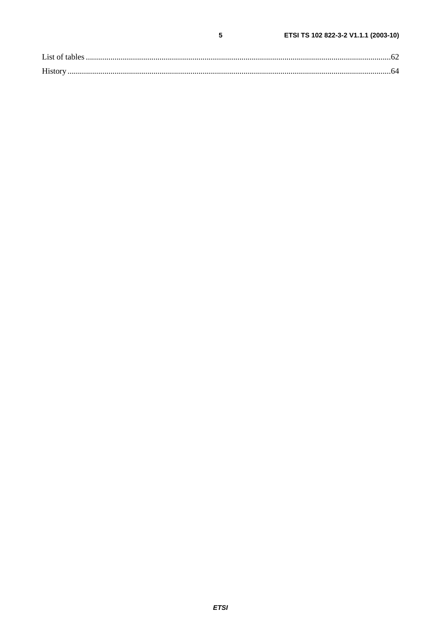$5\phantom{a}$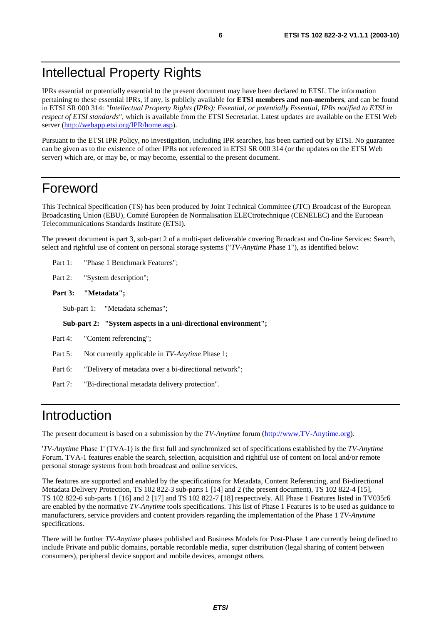IPRs essential or potentially essential to the present document may have been declared to ETSI. The information pertaining to these essential IPRs, if any, is publicly available for **ETSI members and non-members**, and can be found in ETSI SR 000 314: *"Intellectual Property Rights (IPRs); Essential, or potentially Essential, IPRs notified to ETSI in respect of ETSI standards"*, which is available from the ETSI Secretariat. Latest updates are available on the ETSI Web server ([http://webapp.etsi.org/IPR/home.asp\)](http://webapp.etsi.org/IPR/home.asp).

Pursuant to the ETSI IPR Policy, no investigation, including IPR searches, has been carried out by ETSI. No guarantee can be given as to the existence of other IPRs not referenced in ETSI SR 000 314 (or the updates on the ETSI Web server) which are, or may be, or may become, essential to the present document.

# Foreword

This Technical Specification (TS) has been produced by Joint Technical Committee (JTC) Broadcast of the European Broadcasting Union (EBU), Comité Européen de Normalisation ELECtrotechnique (CENELEC) and the European Telecommunications Standards Institute (ETSI).

The present document is part 3, sub-part 2 of a multi-part deliverable covering Broadcast and On-line Services: Search, select and rightful use of content on personal storage systems ("*TV-Anytime* Phase 1"), as identified below:

Part 1: "Phase 1 Benchmark Features";

Part 2: "System description";

#### **Part 3: "Metadata";**

Sub-part 1: "Metadata schemas";

**Sub-part 2: "System aspects in a uni-directional environment";** 

Part 4: "Content referencing";

Part 5: Not currently applicable in *TV-Anytime* Phase 1;

Part 6: "Delivery of metadata over a bi-directional network";

Part 7: "Bi-directional metadata delivery protection".

# Introduction

The present document is based on a submission by the *TV-Anytime* forum ([http://www.TV-Anytime.org](http://www.tv-anytimee.org/)).

'*TV-Anytime* Phase 1' (TVA-1) is the first full and synchronized set of specifications established by the *TV-Anytime* Forum. TVA-1 features enable the search, selection, acquisition and rightful use of content on local and/or remote personal storage systems from both broadcast and online services.

The features are supported and enabled by the specifications for Metadata, Content Referencing, and Bi-directional Metadata Delivery Protection, TS 102 822-3 sub-parts 1 [14] and 2 (the present document), TS 102 822-4 [15], TS 102 822-6 sub-parts 1 [16] and 2 [17] and TS 102 822-7 [18] respectively. All Phase 1 Features listed in TV035r6 are enabled by the normative *TV-Anytime* tools specifications. This list of Phase 1 Features is to be used as guidance to manufacturers, service providers and content providers regarding the implementation of the Phase 1 *TV-Anytime* specifications.

There will be further *TV-Anytime* phases published and Business Models for Post-Phase 1 are currently being defined to include Private and public domains, portable recordable media, super distribution (legal sharing of content between consumers), peripheral device support and mobile devices, amongst others.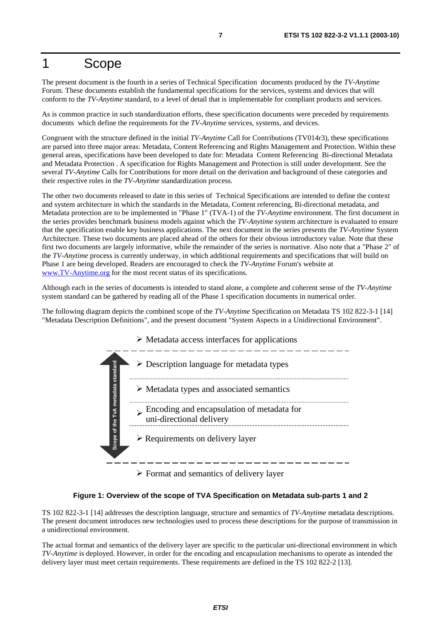# 1 Scope

The present document is the fourth in a series of Technical Specification documents produced by the *TV-Anytime* Forum. These documents establish the fundamental specifications for the services, systems and devices that will conform to the *TV-Anytime* standard, to a level of detail that is implementable for compliant products and services.

As is common practice in such standardization efforts, these specification documents were preceded by requirements documents which define the requirements for the *TV-Anytime* services, systems, and devices.

Congruent with the structure defined in the initial *TV-Anytime* Call for Contributions (TV014r3), these specifications are parsed into three major areas: Metadata, Content Referencing and Rights Management and Protection. Within these general areas, specifications have been developed to date for: Metadata Content Referencing Bi-directional Metadata and Metadata Protection . A specification for Rights Management and Protection is still under development. See the several *TV-Anytime* Calls for Contributions for more detail on the derivation and background of these categories and their respective roles in the *TV-Anytime* standardization process.

The other two documents released to date in this series of Technical Specifications are intended to define the context and system architecture in which the standards in the Metadata, Content referencing, Bi-directional metadata, and Metadata protection are to be implemented in "Phase 1" (TVA-1) of the *TV-Anytime* environment. The first document in the series provides benchmark business models against which the *TV-Anytime* system architecture is evaluated to ensure that the specification enable key business applications. The next document in the series presents the *TV-Anytime* System Architecture. These two documents are placed ahead of the others for their obvious introductory value. Note that these first two documents are largely informative, while the remainder of the series is normative. Also note that a "Phase 2" of the *TV-Anytime* process is currently underway, in which additional requirements and specifications that will build on Phase 1 are being developed. Readers are encouraged to check the *TV-Anytime* Forum's website at [www.TV-Anytime.org](http://www.tv-anytime.org/) for the most recent status of its specifications.

Although each in the series of documents is intended to stand alone, a complete and coherent sense of the *TV-Anytime* system standard can be gathered by reading all of the Phase 1 specification documents in numerical order.

The following diagram depicts the combined scope of the *TV-Anytime* Specification on Metadata TS 102 822-3-1 [14] "Metadata Description Definitions", and the present document "System Aspects in a Unidirectional Environment".



#### **Figure 1: Overview of the scope of TVA Specification on Metadata sub-parts 1 and 2**

TS 102 822-3-1 [14] addresses the description language, structure and semantics of *TV-Anytime* metadata descriptions. The present document introduces new technologies used to process these descriptions for the purpose of transmission in a unidirectional environment.

The actual format and semantics of the delivery layer are specific to the particular uni-directional environment in which *TV-Anytime* is deployed. However, in order for the encoding and encapsulation mechanisms to operate as intended the delivery layer must meet certain requirements. These requirements are defined in the TS 102 822-2 [13].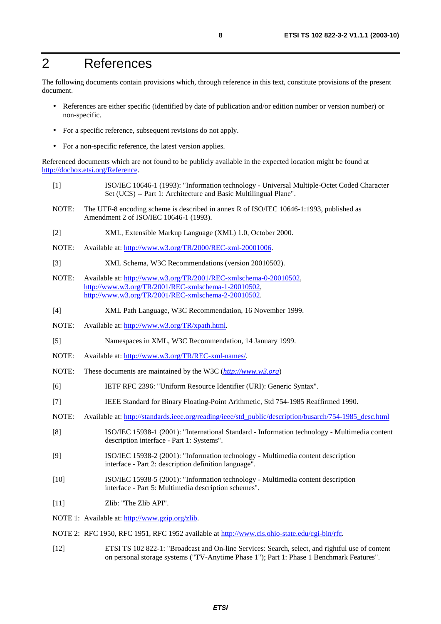# 2 References

The following documents contain provisions which, through reference in this text, constitute provisions of the present document.

- References are either specific (identified by date of publication and/or edition number or version number) or non-specific.
- For a specific reference, subsequent revisions do not apply.
- For a non-specific reference, the latest version applies.

Referenced documents which are not found to be publicly available in the expected location might be found at <http://docbox.etsi.org/Reference>.

- [1] ISO/IEC 10646-1 (1993): "Information technology Universal Multiple-Octet Coded Character Set (UCS) -- Part 1: Architecture and Basic Multilingual Plane".
- NOTE: The UTF-8 encoding scheme is described in annex R of ISO/IEC 10646-1:1993, published as Amendment 2 of ISO/IEC 10646-1 (1993).
- [2] XML, Extensible Markup Language (XML) 1.0, October 2000.
- NOTE: Available at:<http://www.w3.org/TR/2000/REC-xml-20001006>.
- [3] XML Schema, W3C Recommendations (version 20010502).
- NOTE: Available at: [http://www.w3.org/TR/2001/REC-xmlschema-0-20010502,](http://www.w3.org/TR/2001/REC-xmlschema-0-20010502) [http://www.w3.org/TR/2001/REC-xmlschema-1-20010502,](http://www.w3.org/TR/2001/REC-xmlschema-1-20010502) [http://www.w3.org/TR/2001/REC-xmlschema-2-20010502.](http://www.w3.org/XML/Schema)
- [4] XML Path Language, W3C Recommendation, 16 November 1999.
- NOTE: Available at: [http://www.w3.org/TR/xpath.html.](http://www.w3.org/TR/xpath.html)
- [5] Namespaces in XML, W3C Recommendation, 14 January 1999.
- NOTE: Available at: [http://www.w3.org/TR/REC-xml-names/.](http://www.w3.org/TR/REC-xml-names/)
- NOTE: These documents are maintained by the W3C (*[http://www.w3.org](http://www.w3.org/)*)
- [6] IETF RFC 2396: "Uniform Resource Identifier (URI): Generic Syntax".
- [7] IEEE Standard for Binary Floating-Point Arithmetic, Std 754-1985 Reaffirmed 1990.
- NOTE: Available at: [http://standards.ieee.org/reading/ieee/std\\_public/description/busarch/754-1985\\_desc.html](http://standards.ieee.org/reading/ieee/std_public/description/busarch/754-1985_desc.html)
- [8] ISO/IEC 15938-1 (2001): "International Standard Information technology Multimedia content description interface - Part 1: Systems".
- [9] ISO/IEC 15938-2 (2001): "Information technology Multimedia content description interface - Part 2: description definition language".
- [10] ISO/IEC 15938-5 (2001): "Information technology Multimedia content description interface - Part 5: Multimedia description schemes".
- [11] Zlib: "The Zlib API".
- NOTE 1: Available at:<http://www.gzip.org/zlib>.
- NOTE 2: RFC 1950, RFC 1951, RFC 1952 available at [http://www.cis.ohio-state.edu/cgi-bin/rfc.](http://www.cis.ohio-state.edu/cgi-bin/rfc)
- [12] ETSI TS 102 822-1: "Broadcast and On-line Services: Search, select, and rightful use of content on personal storage systems ("TV-Anytime Phase 1"); Part 1: Phase 1 Benchmark Features".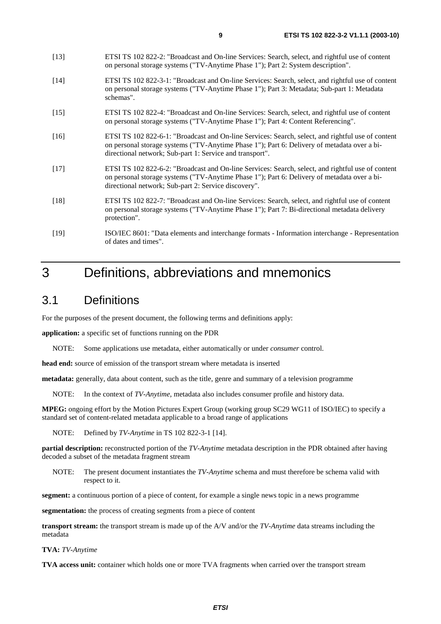- [14] ETSI TS 102 822-3-1: "Broadcast and On-line Services: Search, select, and rightful use of content on personal storage systems ("TV-Anytime Phase 1"); Part 3: Metadata; Sub-part 1: Metadata schemas".
- [15] ETSI TS 102 822-4: "Broadcast and On-line Services: Search, select, and rightful use of content on personal storage systems ("TV-Anytime Phase 1"); Part 4: Content Referencing".
- [16] ETSI TS 102 822-6-1: "Broadcast and On-line Services: Search, select, and rightful use of content on personal storage systems ("TV-Anytime Phase 1"); Part 6: Delivery of metadata over a bidirectional network; Sub-part 1: Service and transport".
- [17] ETSI TS 102 822-6-2: "Broadcast and On-line Services: Search, select, and rightful use of content on personal storage systems ("TV-Anytime Phase 1"); Part 6: Delivery of metadata over a bidirectional network; Sub-part 2: Service discovery".
- [18] ETSI TS 102 822-7: "Broadcast and On-line Services: Search, select, and rightful use of content on personal storage systems ("TV-Anytime Phase 1"); Part 7: Bi-directional metadata delivery protection".
- [19] ISO/IEC 8601: "Data elements and interchange formats Information interchange Representation of dates and times".

# 3 Definitions, abbreviations and mnemonics

# 3.1 Definitions

For the purposes of the present document, the following terms and definitions apply:

**application:** a specific set of functions running on the PDR

NOTE: Some applications use metadata, either automatically or under *consumer* control.

**head end:** source of emission of the transport stream where metadata is inserted

**metadata:** generally, data about content, such as the title, genre and summary of a television programme

NOTE: In the context of *TV-Anytime*, metadata also includes consumer profile and history data.

**MPEG:** ongoing effort by the Motion Pictures Expert Group (working group SC29 WG11 of ISO/IEC) to specify a standard set of content-related metadata applicable to a broad range of applications

NOTE: Defined by *TV-Anytime* in TS 102 822-3-1 [14].

**partial description:** reconstructed portion of the *TV-Anytime* metadata description in the PDR obtained after having decoded a subset of the metadata fragment stream

NOTE: The present document instantiates the *TV-Anytime* schema and must therefore be schema valid with respect to it.

**segment:** a continuous portion of a piece of content, for example a single news topic in a news programme

**segmentation:** the process of creating segments from a piece of content

**transport stream:** the transport stream is made up of the A/V and/or the *TV-Anytime* data streams including the metadata

**TVA:** *TV-Anytime*

**TVA access unit:** container which holds one or more TVA fragments when carried over the transport stream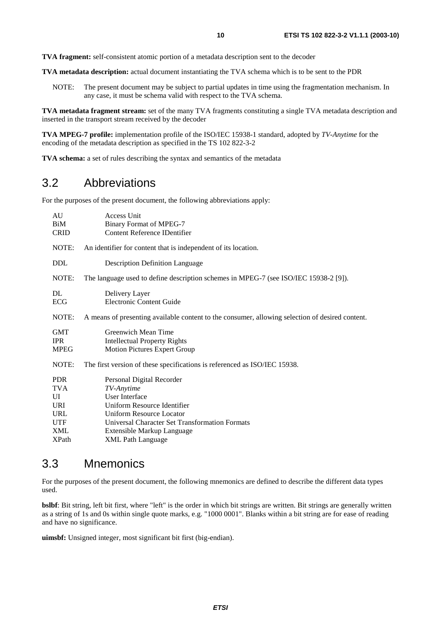**TVA fragment:** self-consistent atomic portion of a metadata description sent to the decoder

**TVA metadata description:** actual document instantiating the TVA schema which is to be sent to the PDR

NOTE: The present document may be subject to partial updates in time using the fragmentation mechanism. In any case, it must be schema valid with respect to the TVA schema.

**TVA metadata fragment stream:** set of the many TVA fragments constituting a single TVA metadata description and inserted in the transport stream received by the decoder

**TVA MPEG-7 profile:** implementation profile of the ISO/IEC 15938-1 standard, adopted by *TV-Anytime* for the encoding of the metadata description as specified in the TS 102 822-3-2

**TVA schema:** a set of rules describing the syntax and semantics of the metadata

# 3.2 Abbreviations

For the purposes of the present document, the following abbreviations apply:

| AU<br>BiM<br><b>CRID</b>                     | <b>Access Unit</b><br><b>Binary Format of MPEG-7</b><br><b>Content Reference IDentifier</b>     |
|----------------------------------------------|-------------------------------------------------------------------------------------------------|
| NOTE:                                        | An identifier for content that is independent of its location.                                  |
| <b>DDL</b>                                   | <b>Description Definition Language</b>                                                          |
| NOTE:                                        | The language used to define description schemes in MPEG-7 (see ISO/IEC 15938-2 [9]).            |
| DL<br>ECG                                    | Delivery Layer<br>Electronic Content Guide                                                      |
| NOTE:                                        | A means of presenting available content to the consumer, allowing selection of desired content. |
| <b>GMT</b><br><b>IPR</b><br><b>MPEG</b>      | Greenwich Mean Time<br><b>Intellectual Property Rights</b><br>Motion Pictures Expert Group      |
| NOTE:                                        | The first version of these specifications is referenced as ISO/IEC 15938.                       |
| <b>PDR</b><br><b>TVA</b><br>UI<br><b>URI</b> | Personal Digital Recorder<br>TV-Anytime<br>User Interface<br>Uniform Resource Identifier        |
| URL                                          | <b>Uniform Resource Locator</b>                                                                 |
| <b>UTF</b>                                   | Universal Character Set Transformation Formats                                                  |
| <b>XML</b>                                   | Extensible Markup Language                                                                      |
| <b>XPath</b>                                 | <b>XML</b> Path Language                                                                        |

## 3.3 Mnemonics

For the purposes of the present document, the following mnemonics are defined to describe the different data types used.

**bslbf**: Bit string, left bit first, where "left" is the order in which bit strings are written. Bit strings are generally written as a string of 1s and 0s within single quote marks, e.g. "1000 0001". Blanks within a bit string are for ease of reading and have no significance.

**uimsbf:** Unsigned integer, most significant bit first (big-endian).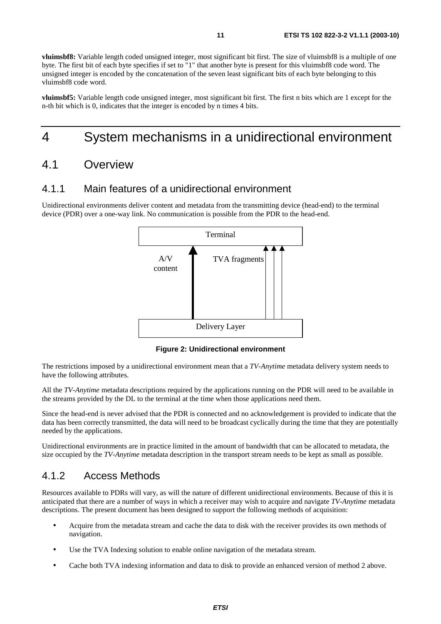**vluimsbf8:** Variable length coded unsigned integer, most significant bit first. The size of vluimsbf8 is a multiple of one byte. The first bit of each byte specifies if set to "1" that another byte is present for this vluimsbf8 code word. The unsigned integer is encoded by the concatenation of the seven least significant bits of each byte belonging to this vluimsbf8 code word.

**vluimsbf5:** Variable length code unsigned integer, most significant bit first. The first n bits which are 1 except for the n-th bit which is 0, indicates that the integer is encoded by n times 4 bits.

# 4 System mechanisms in a unidirectional environment

# 4.1 Overview

## 4.1.1 Main features of a unidirectional environment

Unidirectional environments deliver content and metadata from the transmitting device (head-end) to the terminal device (PDR) over a one-way link. No communication is possible from the PDR to the head-end.



**Figure 2: Unidirectional environment** 

The restrictions imposed by a unidirectional environment mean that a *TV-Anytime* metadata delivery system needs to have the following attributes.

All the *TV-Anytime* metadata descriptions required by the applications running on the PDR will need to be available in the streams provided by the DL to the terminal at the time when those applications need them.

Since the head-end is never advised that the PDR is connected and no acknowledgement is provided to indicate that the data has been correctly transmitted, the data will need to be broadcast cyclically during the time that they are potentially needed by the applications.

Unidirectional environments are in practice limited in the amount of bandwidth that can be allocated to metadata, the size occupied by the *TV-Anytime* metadata description in the transport stream needs to be kept as small as possible.

## 4.1.2 Access Methods

Resources available to PDRs will vary, as will the nature of different unidirectional environments. Because of this it is anticipated that there are a number of ways in which a receiver may wish to acquire and navigate *TV-Anytime* metadata descriptions. The present document has been designed to support the following methods of acquisition:

- Acquire from the metadata stream and cache the data to disk with the receiver provides its own methods of navigation.
- Use the TVA Indexing solution to enable online navigation of the metadata stream.
- Cache both TVA indexing information and data to disk to provide an enhanced version of method 2 above.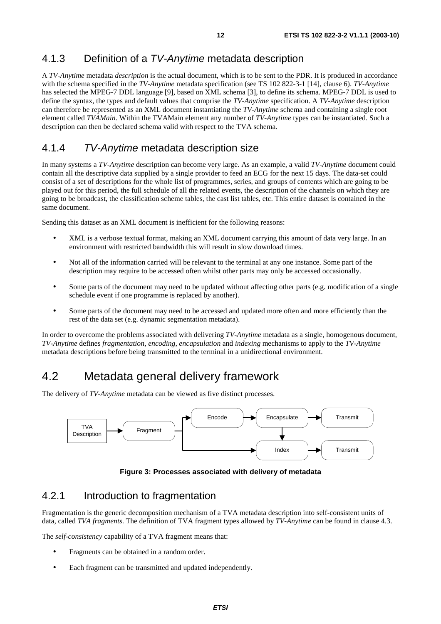# 4.1.3 Definition of a TV-Anytime metadata description

A *TV-Anytime* metadata *description* is the actual document, which is to be sent to the PDR. It is produced in accordance with the schema specified in the *TV-Anytime* metadata specification (see TS 102 822-3-1 [14], clause 6). *TV-Anytime* has selected the MPEG-7 DDL language [9], based on XML schema [3], to define its schema. MPEG-7 DDL is used to define the syntax, the types and default values that comprise the *TV-Anytime* specification. A *TV-Anytime* description can therefore be represented as an XML document instantiating the *TV-Anytime* schema and containing a single root element called *TVAMain*. Within the TVAMain element any number of *TV-Anytime* types can be instantiated. Such a description can then be declared schema valid with respect to the TVA schema.

## 4.1.4 TV-Anytime metadata description size

In many systems a *TV-Anytime* description can become very large. As an example, a valid *TV-Anytime* document could contain all the descriptive data supplied by a single provider to feed an ECG for the next 15 days. The data-set could consist of a set of descriptions for the whole list of programmes, series, and groups of contents which are going to be played out for this period, the full schedule of all the related events, the description of the channels on which they are going to be broadcast, the classification scheme tables, the cast list tables, etc. This entire dataset is contained in the same document.

Sending this dataset as an XML document is inefficient for the following reasons:

- XML is a verbose textual format, making an XML document carrying this amount of data very large. In an environment with restricted bandwidth this will result in slow download times.
- Not all of the information carried will be relevant to the terminal at any one instance. Some part of the description may require to be accessed often whilst other parts may only be accessed occasionally.
- Some parts of the document may need to be updated without affecting other parts (e.g. modification of a single schedule event if one programme is replaced by another).
- Some parts of the document may need to be accessed and updated more often and more efficiently than the rest of the data set (e.g. dynamic segmentation metadata).

In order to overcome the problems associated with delivering *TV-Anytime* metadata as a single, homogenous document, *TV-Anytime* defines *fragmentation, encoding, encapsulation* and *indexing* mechanisms to apply to the *TV-Anytime* metadata descriptions before being transmitted to the terminal in a unidirectional environment.

# 4.2 Metadata general delivery framework

The delivery of *TV-Anytime* metadata can be viewed as five distinct processes.



**Figure 3: Processes associated with delivery of metadata** 

### 4.2.1 Introduction to fragmentation

Fragmentation is the generic decomposition mechanism of a TVA metadata description into self-consistent units of data, called *TVA fragments*. The definition of TVA fragment types allowed by *TV-Anytime* can be found in clause 4.3.

The *self-consistency* capability of a TVA fragment means that:

- Fragments can be obtained in a random order.
- Each fragment can be transmitted and updated independently.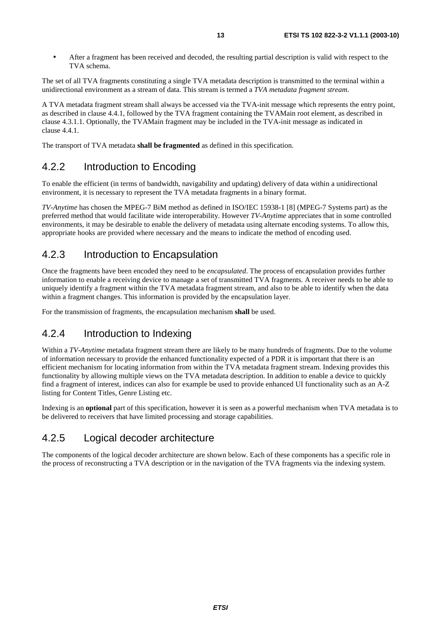• After a fragment has been received and decoded, the resulting partial description is valid with respect to the TVA schema.

The set of all TVA fragments constituting a single TVA metadata description is transmitted to the terminal within a unidirectional environment as a stream of data. This stream is termed a *TVA metadata fragment stream*.

A TVA metadata fragment stream shall always be accessed via the TVA-init message which represents the entry point, as described in clause 4.4.1, followed by the TVA fragment containing the TVAMain root element, as described in clause 4.3.1.1. Optionally, the TVAMain fragment may be included in the TVA-init message as indicated in clause 4.4.1.

The transport of TVA metadata **shall be fragmented** as defined in this specification.

### 4.2.2 Introduction to Encoding

To enable the efficient (in terms of bandwidth, navigability and updating) delivery of data within a unidirectional environment, it is necessary to represent the TVA metadata fragments in a binary format.

*TV-Anytime* has chosen the MPEG-7 BiM method as defined in ISO/IEC 15938-1 [8] (MPEG-7 Systems part) as the preferred method that would facilitate wide interoperability. However *TV-Anytime* appreciates that in some controlled environments, it may be desirable to enable the delivery of metadata using alternate encoding systems. To allow this, appropriate hooks are provided where necessary and the means to indicate the method of encoding used.

### 4.2.3 Introduction to Encapsulation

Once the fragments have been encoded they need to be *encapsulated*. The process of encapsulation provides further information to enable a receiving device to manage a set of transmitted TVA fragments. A receiver needs to be able to uniquely identify a fragment within the TVA metadata fragment stream, and also to be able to identify when the data within a fragment changes. This information is provided by the encapsulation layer.

For the transmission of fragments, the encapsulation mechanism **shall** be used.

## 4.2.4 Introduction to Indexing

Within a *TV-Anytime* metadata fragment stream there are likely to be many hundreds of fragments. Due to the volume of information necessary to provide the enhanced functionality expected of a PDR it is important that there is an efficient mechanism for locating information from within the TVA metadata fragment stream. Indexing provides this functionality by allowing multiple views on the TVA metadata description. In addition to enable a device to quickly find a fragment of interest, indices can also for example be used to provide enhanced UI functionality such as an A-Z listing for Content Titles, Genre Listing etc.

Indexing is an **optional** part of this specification, however it is seen as a powerful mechanism when TVA metadata is to be delivered to receivers that have limited processing and storage capabilities.

## 4.2.5 Logical decoder architecture

The components of the logical decoder architecture are shown below. Each of these components has a specific role in the process of reconstructing a TVA description or in the navigation of the TVA fragments via the indexing system.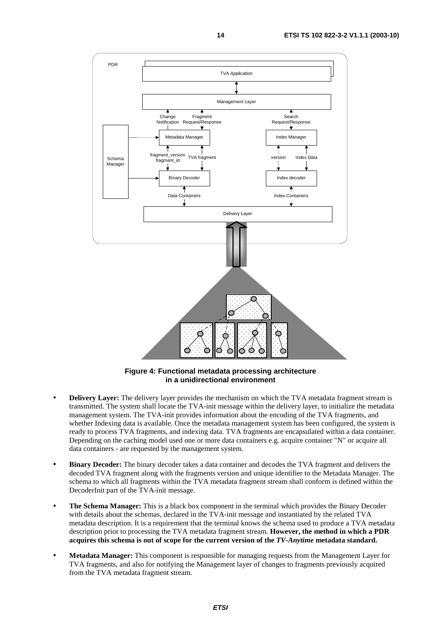

**Figure 4: Functional metadata processing architecture in a unidirectional environment** 

- **Delivery Layer:** The delivery layer provides the mechanism on which the TVA metadata fragment stream is transmitted. The system shall locate the TVA-init message within the delivery layer, to initialize the metadata management system. The TVA-init provides information about the encoding of the TVA fragments, and whether Indexing data is available. Once the metadata management system has been configured, the system is ready to process TVA fragments, and indexing data. TVA fragments are encapsulated within a data container. Depending on the caching model used one or more data containers e.g. acquire container "N" or acquire all data containers - are requested by the management system.
- **Binary Decoder:** The binary decoder takes a data container and decodes the TVA fragment and delivers the decoded TVA fragment along with the fragments version and unique identifier to the Metadata Manager. The schema to which all fragments within the TVA metadata fragment stream shall conform is defined within the DecoderInit part of the TVA-init message.
- **The Schema Manager:** This is a black box component in the terminal which provides the Binary Decoder with details about the schemas, declared in the TVA-init message and instantiated by the related TVA metadata description. It is a requirement that the terminal knows the schema used to produce a TVA metadata description prior to processing the TVA metadata fragment stream. **However, the method in which a PDR acquires this schema is out of scope for the current version of the** *TV-Anytime* **metadata standard.**
- **Metadata Manager:** This component is responsible for managing requests from the Management Layer for TVA fragments, and also for notifying the Management layer of changes to fragments previously acquired from the TVA metadata fragment stream.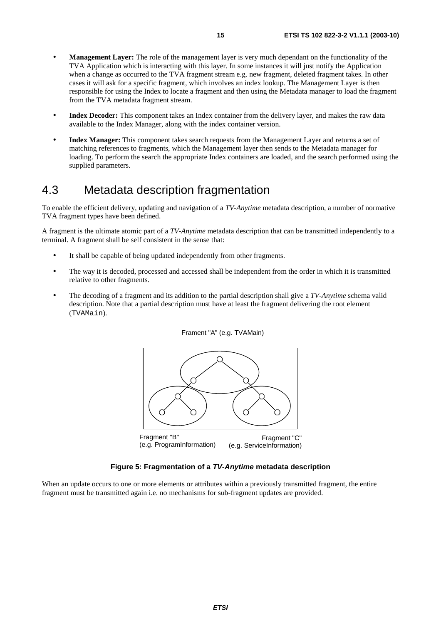- **Management Layer:** The role of the management layer is very much dependant on the functionality of the TVA Application which is interacting with this layer. In some instances it will just notify the Application when a change as occurred to the TVA fragment stream e.g. new fragment, deleted fragment takes. In other cases it will ask for a specific fragment, which involves an index lookup. The Management Layer is then responsible for using the Index to locate a fragment and then using the Metadata manager to load the fragment from the TVA metadata fragment stream.
- **Index Decoder:** This component takes an Index container from the delivery layer, and makes the raw data available to the Index Manager, along with the index container version.
- **Index Manager:** This component takes search requests from the Management Layer and returns a set of matching references to fragments, which the Management layer then sends to the Metadata manager for loading. To perform the search the appropriate Index containers are loaded, and the search performed using the supplied parameters.

# 4.3 Metadata description fragmentation

To enable the efficient delivery, updating and navigation of a *TV-Anytime* metadata description, a number of normative TVA fragment types have been defined.

A fragment is the ultimate atomic part of a *TV-Anytime* metadata description that can be transmitted independently to a terminal. A fragment shall be self consistent in the sense that:

- It shall be capable of being updated independently from other fragments.
- The way it is decoded, processed and accessed shall be independent from the order in which it is transmitted relative to other fragments.
- The decoding of a fragment and its addition to the partial description shall give a *TV-Anytime* schema valid description. Note that a partial description must have at least the fragment delivering the root element (TVAMain).





#### **Figure 5: Fragmentation of a TV-Anytime metadata description**

When an update occurs to one or more elements or attributes within a previously transmitted fragment, the entire fragment must be transmitted again i.e. no mechanisms for sub-fragment updates are provided.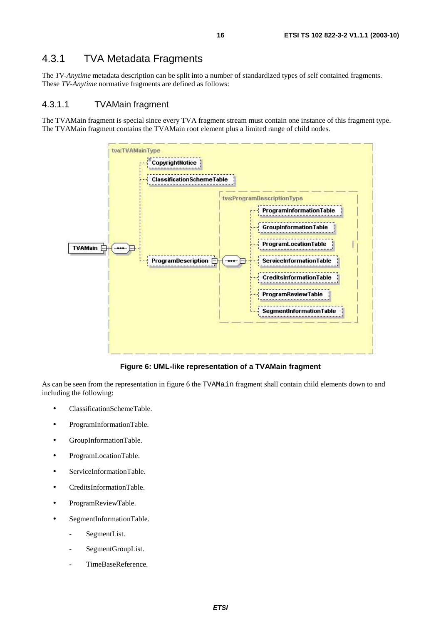# 4.3.1 TVA Metadata Fragments

The *TV-Anytime* metadata description can be split into a number of standardized types of self contained fragments. These *TV-Anytime* normative fragments are defined as follows:

#### 4.3.1.1 TVAMain fragment

The TVAMain fragment is special since every TVA fragment stream must contain one instance of this fragment type. The TVAMain fragment contains the TVAMain root element plus a limited range of child nodes.



**Figure 6: UML-like representation of a TVAMain fragment** 

As can be seen from the representation in figure 6 the TVAMain fragment shall contain child elements down to and including the following:

- ClassificationSchemeTable.
- ProgramInformationTable.
- GroupInformationTable.
- ProgramLocationTable.
- ServiceInformationTable.
- CreditsInformationTable.
- ProgramReviewTable.
- SegmentInformationTable.
	- SegmentList.
	- SegmentGroupList.
	- TimeBaseReference.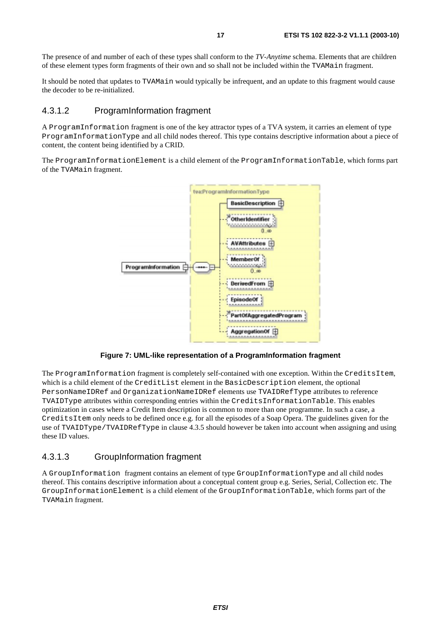The presence of and number of each of these types shall conform to the *TV-Anytime* schema. Elements that are children of these element types form fragments of their own and so shall not be included within the TVAMain fragment.

It should be noted that updates to TVAMain would typically be infrequent, and an update to this fragment would cause the decoder to be re-initialized.

#### 4.3.1.2 ProgramInformation fragment

A ProgramInformation fragment is one of the key attractor types of a TVA system, it carries an element of type ProgramInformationType and all child nodes thereof. This type contains descriptive information about a piece of content, the content being identified by a CRID.

The ProgramInformationElement is a child element of the ProgramInformationTable, which forms part of the TVAMain fragment.



**Figure 7: UML-like representation of a ProgramInformation fragment** 

The ProgramInformation fragment is completely self-contained with one exception. Within the CreditsItem, which is a child element of the CreditList element in the BasicDescription element, the optional PersonNameIDRef and OrganizationNameIDRef elements use TVAIDRefType attributes to reference TVAIDType attributes within corresponding entries within the CreditsInformationTable. This enables optimization in cases where a Credit Item description is common to more than one programme. In such a case, a CreditsItem only needs to be defined once e.g. for all the episodes of a Soap Opera. The guidelines given for the use of TVAIDType/TVAIDRefType in clause 4.3.5 should however be taken into account when assigning and using these ID values.

#### 4.3.1.3 GroupInformation fragment

A GroupInformation fragment contains an element of type GroupInformationType and all child nodes thereof. This contains descriptive information about a conceptual content group e.g. Series, Serial, Collection etc. The GroupInformationElement is a child element of the GroupInformationTable, which forms part of the TVAMain fragment.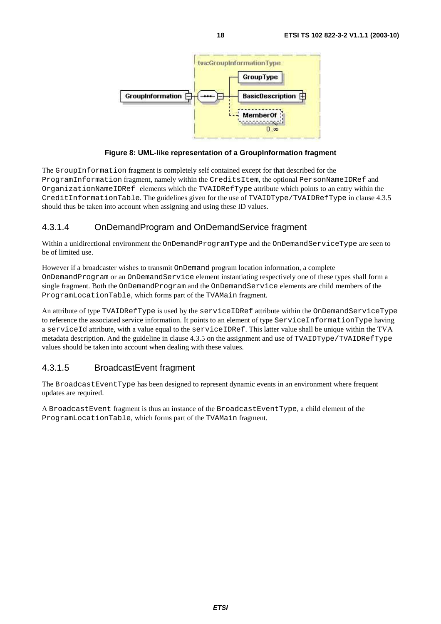

#### **Figure 8: UML-like representation of a GroupInformation fragment**

The GroupInformation fragment is completely self contained except for that described for the ProgramInformation fragment, namely within the CreditsItem, the optional PersonNameIDRef and OrganizationNameIDRef elements which the TVAIDRefType attribute which points to an entry within the CreditInformationTable. The guidelines given for the use of TVAIDType/TVAIDRefType in clause 4.3.5 should thus be taken into account when assigning and using these ID values.

### 4.3.1.4 OnDemandProgram and OnDemandService fragment

Within a unidirectional environment the OnDemandProgramType and the OnDemandServiceType are seen to be of limited use.

However if a broadcaster wishes to transmit OnDemand program location information, a complete OnDemandProgram or an OnDemandService element instantiating respectively one of these types shall form a single fragment. Both the OnDemandProgram and the OnDemandService elements are child members of the ProgramLocationTable, which forms part of the TVAMain fragment.

An attribute of type TVAIDRefType is used by the serviceIDRef attribute within the OnDemandServiceType to reference the associated service information. It points to an element of type ServiceInformationType having a serviceId attribute, with a value equal to the serviceIDRef. This latter value shall be unique within the TVA metadata description. And the guideline in clause 4.3.5 on the assignment and use of TVAIDType/TVAIDRefType values should be taken into account when dealing with these values.

## 4.3.1.5 BroadcastEvent fragment

The BroadcastEventType has been designed to represent dynamic events in an environment where frequent updates are required.

A BroadcastEvent fragment is thus an instance of the BroadcastEventType, a child element of the ProgramLocationTable, which forms part of the TVAMain fragment.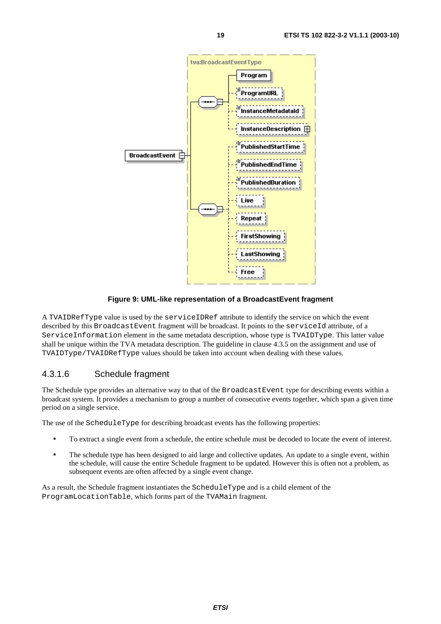

**Figure 9: UML-like representation of a BroadcastEvent fragment** 

A TVAIDRefType value is used by the serviceIDRef attribute to identify the service on which the event described by this BroadcastEvent fragment will be broadcast. It points to the serviceId attribute, of a ServiceInformation element in the same metadata description, whose type is TVAIDType. This latter value shall be unique within the TVA metadata description. The guideline in clause 4.3.5 on the assignment and use of TVAIDType/TVAIDRefType values should be taken into account when dealing with these values.

### 4.3.1.6 Schedule fragment

The Schedule type provides an alternative way to that of the BroadcastEvent type for describing events within a broadcast system. It provides a mechanism to group a number of consecutive events together, which span a given time period on a single service.

The use of the ScheduleType for describing broadcast events has the following properties:

- To extract a single event from a schedule, the entire schedule must be decoded to locate the event of interest.
- The schedule type has been designed to aid large and collective updates. An update to a single event, within the schedule, will cause the entire Schedule fragment to be updated. However this is often not a problem, as subsequent events are often affected by a single event change.

As a result, the Schedule fragment instantiates the ScheduleType and is a child element of the ProgramLocationTable, which forms part of the TVAMain fragment.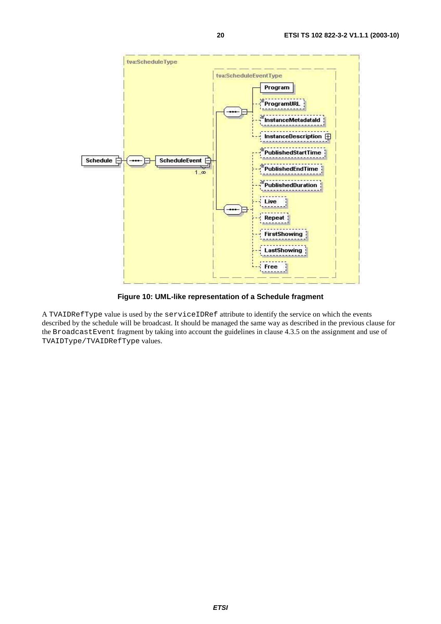

**Figure 10: UML-like representation of a Schedule fragment** 

A TVAIDRefType value is used by the serviceIDRef attribute to identify the service on which the events described by the schedule will be broadcast. It should be managed the same way as described in the previous clause for the BroadcastEvent fragment by taking into account the guidelines in clause 4.3.5 on the assignment and use of TVAIDType/TVAIDRefType values.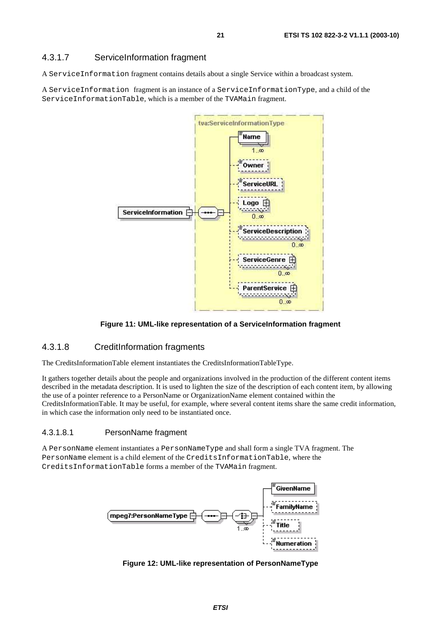#### 4.3.1.7 ServiceInformation fragment

A ServiceInformation fragment contains details about a single Service within a broadcast system.

A ServiceInformation fragment is an instance of a ServiceInformationType, and a child of the ServiceInformationTable, which is a member of the TVAMain fragment.



**Figure 11: UML-like representation of a ServiceInformation fragment** 

#### 4.3.1.8 CreditInformation fragments

The CreditsInformationTable element instantiates the CreditsInformationTableType.

It gathers together details about the people and organizations involved in the production of the different content items described in the metadata description. It is used to lighten the size of the description of each content item, by allowing the use of a pointer reference to a PersonName or OrganizationName element contained within the CreditsInformationTable. It may be useful, for example, where several content items share the same credit information, in which case the information only need to be instantiated once.

#### 4.3.1.8.1 PersonName fragment

A PersonName element instantiates a PersonNameType and shall form a single TVA fragment. The PersonName element is a child element of the CreditsInformationTable, where the CreditsInformationTable forms a member of the TVAMain fragment.



**Figure 12: UML-like representation of PersonNameType**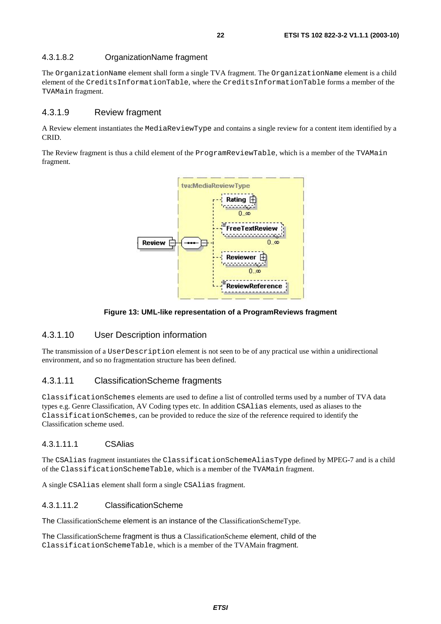#### 4.3.1.8.2 OrganizationName fragment

The OrganizationName element shall form a single TVA fragment. The OrganizationName element is a child element of the CreditsInformationTable, where the CreditsInformationTable forms a member of the TVAMain fragment.

#### 4.3.1.9 Review fragment

A Review element instantiates the MediaReviewType and contains a single review for a content item identified by a CRID.

The Review fragment is thus a child element of the ProgramReviewTable, which is a member of the TVAMain fragment.



#### **Figure 13: UML-like representation of a ProgramReviews fragment**

#### 4.3.1.10 User Description information

The transmission of a UserDescription element is not seen to be of any practical use within a unidirectional environment, and so no fragmentation structure has been defined.

#### 4.3.1.11 ClassificationScheme fragments

ClassificationSchemes elements are used to define a list of controlled terms used by a number of TVA data types e.g. Genre Classification, AV Coding types etc. In addition CSAlias elements, used as aliases to the ClassificationSchemes, can be provided to reduce the size of the reference required to identify the Classification scheme used.

#### 4.3.1.11.1 CSAlias

The CSAlias fragment instantiates the ClassificationSchemeAliasType defined by MPEG-7 and is a child of the ClassificationSchemeTable, which is a member of the TVAMain fragment.

A single CSAlias element shall form a single CSAlias fragment.

#### 4.3.1.11.2 ClassificationScheme

The ClassificationScheme element is an instance of the ClassificationSchemeType.

The ClassificationScheme fragment is thus a ClassificationScheme element, child of the ClassificationSchemeTable, which is a member of the TVAMain fragment.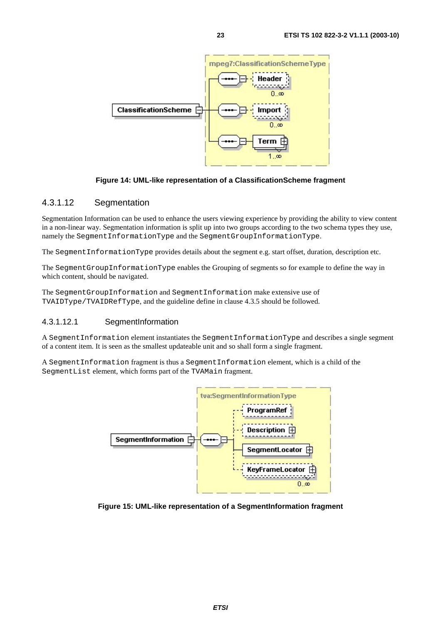

#### **Figure 14: UML-like representation of a ClassificationScheme fragment**

### 4.3.1.12 Segmentation

Segmentation Information can be used to enhance the users viewing experience by providing the ability to view content in a non-linear way. Segmentation information is split up into two groups according to the two schema types they use, namely the SegmentInformationType and the SegmentGroupInformationType.

The SegmentInformationType provides details about the segment e.g. start offset, duration, description etc.

The SegmentGroupInformationType enables the Grouping of segments so for example to define the way in which content, should be navigated.

The SegmentGroupInformation and SegmentInformation make extensive use of TVAIDType/TVAIDRefType, and the guideline define in clause 4.3.5 should be followed.

#### 4.3.1.12.1 SegmentInformation

A SegmentInformation element instantiates the SegmentInformationType and describes a single segment of a content item. It is seen as the smallest updateable unit and so shall form a single fragment.

A SegmentInformation fragment is thus a SegmentInformation element, which is a child of the SegmentList element, which forms part of the TVAMain fragment.



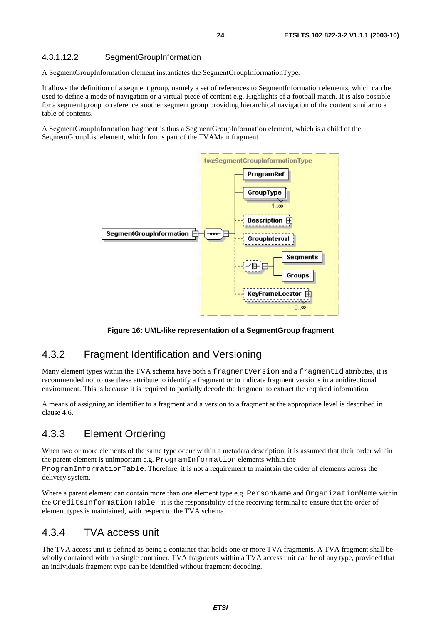#### 4.3.1.12.2 SegmentGroupInformation

A SegmentGroupInformation element instantiates the SegmentGroupInformationType.

It allows the definition of a segment group, namely a set of references to SegmentInformation elements, which can be used to define a mode of navigation or a virtual piece of content e.g. Highlights of a football match. It is also possible for a segment group to reference another segment group providing hierarchical navigation of the content similar to a table of contents.

A SegmentGroupInformation fragment is thus a SegmentGroupInformation element, which is a child of the SegmentGroupList element, which forms part of the TVAMain fragment.



**Figure 16: UML-like representation of a SegmentGroup fragment** 

# 4.3.2 Fragment Identification and Versioning

Many element types within the TVA schema have both a fragmentVersion and a fragmentId attributes, it is recommended not to use these attribute to identify a fragment or to indicate fragment versions in a unidirectional environment. This is because it is required to partially decode the fragment to extract the required information.

A means of assigning an identifier to a fragment and a version to a fragment at the appropriate level is described in clause 4.6.

## 4.3.3 Element Ordering

When two or more elements of the same type occur within a metadata description, it is assumed that their order within the parent element is unimportant e.g. ProgramInformation elements within the ProgramInformationTable. Therefore, it is not a requirement to maintain the order of elements across the delivery system.

Where a parent element can contain more than one element type e.g. PersonName and OrganizationName within the CreditsInformationTable - it is the responsibility of the receiving terminal to ensure that the order of element types is maintained, with respect to the TVA schema.

### 4.3.4 TVA access unit

The TVA access unit is defined as being a container that holds one or more TVA fragments. A TVA fragment shall be wholly contained within a single container. TVA fragments within a TVA access unit can be of any type, provided that an individuals fragment type can be identified without fragment decoding.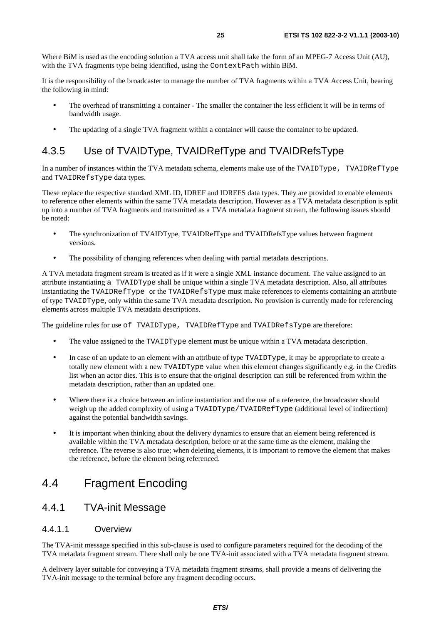Where BiM is used as the encoding solution a TVA access unit shall take the form of an MPEG-7 Access Unit (AU), with the TVA fragments type being identified, using the ContextPath within BiM.

It is the responsibility of the broadcaster to manage the number of TVA fragments within a TVA Access Unit, bearing the following in mind:

- The overhead of transmitting a container The smaller the container the less efficient it will be in terms of bandwidth usage.
- The updating of a single TVA fragment within a container will cause the container to be updated.

# 4.3.5 Use of TVAIDType, TVAIDRefType and TVAIDRefsType

In a number of instances within the TVA metadata schema, elements make use of the TVAIDType, TVAIDRefType and TVAIDRefsType data types.

These replace the respective standard XML ID, IDREF and IDREFS data types. They are provided to enable elements to reference other elements within the same TVA metadata description. However as a TVA metadata description is split up into a number of TVA fragments and transmitted as a TVA metadata fragment stream, the following issues should be noted:

- The synchronization of TVAIDType, TVAIDRefType and TVAIDRefsType values between fragment versions.
- The possibility of changing references when dealing with partial metadata descriptions.

A TVA metadata fragment stream is treated as if it were a single XML instance document. The value assigned to an attribute instantiating a TVAIDType shall be unique within a single TVA metadata description. Also, all attributes instantiating the TVAIDRefType or the TVAIDRefsType must make references to elements containing an attribute of type TVAIDType, only within the same TVA metadata description. No provision is currently made for referencing elements across multiple TVA metadata descriptions.

The guideline rules for use of TVAIDType, TVAIDRefType and TVAIDRefsType are therefore:

- The value assigned to the TVAIDType element must be unique within a TVA metadata description.
- In case of an update to an element with an attribute of type TVAIDType, it may be appropriate to create a totally new element with a new TVAIDType value when this element changes significantly e.g. in the Credits list when an actor dies. This is to ensure that the original description can still be referenced from within the metadata description, rather than an updated one.
- Where there is a choice between an inline instantiation and the use of a reference, the broadcaster should weigh up the added complexity of using a TVAIDType/TVAIDRefType (additional level of indirection) against the potential bandwidth savings.
- It is important when thinking about the delivery dynamics to ensure that an element being referenced is available within the TVA metadata description, before or at the same time as the element, making the reference. The reverse is also true; when deleting elements, it is important to remove the element that makes the reference, before the element being referenced.

# 4.4 Fragment Encoding

## 4.4.1 TVA-init Message

#### 4.4.1.1 Overview

The TVA-init message specified in this sub-clause is used to configure parameters required for the decoding of the TVA metadata fragment stream. There shall only be one TVA-init associated with a TVA metadata fragment stream.

A delivery layer suitable for conveying a TVA metadata fragment streams, shall provide a means of delivering the TVA-init message to the terminal before any fragment decoding occurs.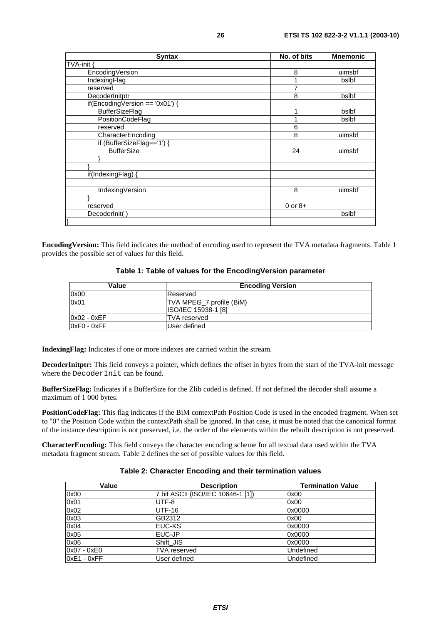| <b>Syntax</b>                   | No. of bits | <b>Mnemonic</b> |
|---------------------------------|-------------|-----------------|
| TVA-init {                      |             |                 |
| EncodingVersion                 | 8           | uimsbf          |
| IndexingFlag                    |             | bslbf           |
| reserved                        | 7           |                 |
| DecoderInitptr                  | 8           | bslbf           |
| if(EncodingVersion == '0x01') { |             |                 |
| <b>BufferSizeFlag</b>           |             | bslbf           |
| PositionCodeFlag                |             | bslbf           |
| reserved                        | 6           |                 |
| CharacterEncoding               | 8           | uimsbf          |
| if (BufferSizeFlag=='1') {      |             |                 |
| <b>BufferSize</b>               | 24          | uimsbf          |
|                                 |             |                 |
|                                 |             |                 |
| if(IndexingFlag)                |             |                 |
|                                 |             |                 |
| IndexingVersion                 | 8           | uimsbf          |
|                                 |             |                 |
| reserved                        | $0$ or $8+$ |                 |
| DecoderInit()                   |             | bslbf           |
|                                 |             |                 |

**EncodingVersion:** This field indicates the method of encoding used to represent the TVA metadata fragments. Table 1 provides the possible set of values for this field.

|  | Table 1: Table of values for the EncodingVersion parameter |
|--|------------------------------------------------------------|
|--|------------------------------------------------------------|

| Value         | <b>Encoding Version</b>  |
|---------------|--------------------------|
| 0x00          | Reserved                 |
| 0x01          | TVA MPEG_7 profile (BiM) |
|               | ISO/IEC 15938-1 [8]      |
| 0x02 - 0xEF   | <b>TVA</b> reserved      |
| $0xF0 - 0xFF$ | User defined             |

**IndexingFlag:** Indicates if one or more indexes are carried within the stream.

**DecoderInitptr:** This field conveys a pointer, which defines the offset in bytes from the start of the TVA-init message where the DecoderInit can be found.

**BufferSizeFlag:** Indicates if a BufferSize for the Zlib coded is defined. If not defined the decoder shall assume a maximum of 1 000 bytes.

**PositionCodeFlag:** This flag indicates if the BiM contextPath Position Code is used in the encoded fragment. When set to "0" the Position Code within the contextPath shall be ignored. In that case, it must be noted that the canonical format of the instance description is not preserved, i.e. the order of the elements within the rebuilt description is not preserved.

**CharacterEncoding:** This field conveys the character encoding scheme for all textual data used within the TVA metadata fragment stream. Table 2 defines the set of possible values for this field.

#### **Table 2: Character Encoding and their termination values**

| Value         | <b>Description</b>                | <b>Termination Value</b> |
|---------------|-----------------------------------|--------------------------|
| 0x00          | 7 bit ASCII (ISO/IEC 10646-1 [1]) | 0x00                     |
| 0x01          | UTF-8                             | 0x00                     |
| 0x02          | <b>UTF-16</b>                     | 0x0000                   |
| 0x03          | GB2312                            | 0x00                     |
| 0x04          | IEUC-KS                           | 0x0000                   |
| 0x05          | <b>IEUC-JP</b>                    | 0x0000                   |
| 0x06          | Shift JIS                         | 0x0000                   |
| $0x07 - 0xE0$ | <b>TVA</b> reserved               | Undefined                |
| $0xE1 - 0xFF$ | User defined                      | Undefined                |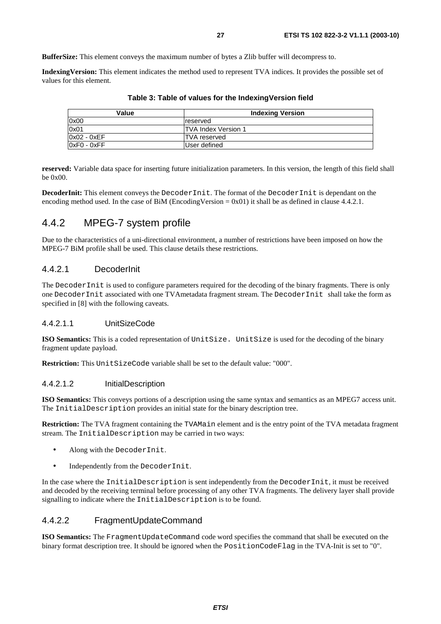**BufferSize:** This element conveys the maximum number of bytes a Zlib buffer will decompress to.

**IndexingVersion:** This element indicates the method used to represent TVA indices. It provides the possible set of values for this element.

| Value         | <b>Indexing Version</b>     |
|---------------|-----------------------------|
| 0x00          | <b>Ireserved</b>            |
| 0x01          | <b>ITVA Index Version 1</b> |
| $0x02 - 0xEF$ | <b>ITVA</b> reserved        |
| $0xF0 - 0xFF$ | User defined                |

**Table 3: Table of values for the IndexingVersion field** 

**reserved:** Variable data space for inserting future initialization parameters. In this version, the length of this field shall be 0x00.

**DecoderInit:** This element conveys the DecoderInit. The format of the DecoderInit is dependant on the encoding method used. In the case of BiM (EncodingVersion =  $0x01$ ) it shall be as defined in clause 4.4.2.1.

# 4.4.2 MPEG-7 system profile

Due to the characteristics of a uni-directional environment, a number of restrictions have been imposed on how the MPEG-7 BiM profile shall be used. This clause details these restrictions.

#### 4.4.2.1 DecoderInit

The DecoderInit is used to configure parameters required for the decoding of the binary fragments. There is only one DecoderInit associated with one TVAmetadata fragment stream. The DecoderInit shall take the form as specified in [8] with the following caveats.

#### 4.4.2.1.1 UnitSizeCode

**ISO Semantics:** This is a coded representation of UnitSize. UnitSize is used for the decoding of the binary fragment update payload.

**Restriction:** This UnitSizeCode variable shall be set to the default value: "000".

#### 4.4.2.1.2 InitialDescription

**ISO Semantics:** This conveys portions of a description using the same syntax and semantics as an MPEG7 access unit. The InitialDescription provides an initial state for the binary description tree.

**Restriction:** The TVA fragment containing the TVAMain element and is the entry point of the TVA metadata fragment stream. The InitialDescription may be carried in two ways:

- Along with the DecoderInit.
- Independently from the DecoderInit.

In the case where the InitialDescription is sent independently from the DecoderInit, it must be received and decoded by the receiving terminal before processing of any other TVA fragments. The delivery layer shall provide signalling to indicate where the InitialDescription is to be found.

#### 4.4.2.2 FragmentUpdateCommand

**ISO Semantics:** The FragmentUpdateCommand code word specifies the command that shall be executed on the binary format description tree. It should be ignored when the PositionCodeFlag in the TVA-Init is set to "0".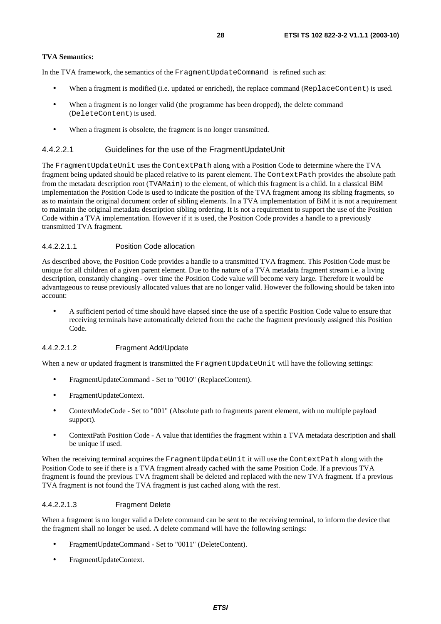In the TVA framework, the semantics of the FragmentUpdateCommand is refined such as:

- When a fragment is modified (i.e. updated or enriched), the replace command (ReplaceContent) is used.
- When a fragment is no longer valid (the programme has been dropped), the delete command (DeleteContent) is used.
- When a fragment is obsolete, the fragment is no longer transmitted.

#### 4.4.2.2.1 Guidelines for the use of the FragmentUpdateUnit

The FragmentUpdateUnit uses the ContextPath along with a Position Code to determine where the TVA fragment being updated should be placed relative to its parent element. The ContextPath provides the absolute path from the metadata description root (TVAMain) to the element, of which this fragment is a child. In a classical BiM implementation the Position Code is used to indicate the position of the TVA fragment among its sibling fragments, so as to maintain the original document order of sibling elements. In a TVA implementation of BiM it is not a requirement to maintain the original metadata description sibling ordering. It is not a requirement to support the use of the Position Code within a TVA implementation. However if it is used, the Position Code provides a handle to a previously transmitted TVA fragment.

#### 4.4.2.2.1.1 Position Code allocation

As described above, the Position Code provides a handle to a transmitted TVA fragment. This Position Code must be unique for all children of a given parent element. Due to the nature of a TVA metadata fragment stream i.e. a living description, constantly changing - over time the Position Code value will become very large. Therefore it would be advantageous to reuse previously allocated values that are no longer valid. However the following should be taken into account:

• A sufficient period of time should have elapsed since the use of a specific Position Code value to ensure that receiving terminals have automatically deleted from the cache the fragment previously assigned this Position Code.

#### 4.4.2.2.1.2 Fragment Add/Update

When a new or updated fragment is transmitted the FragmentUpdateUnit will have the following settings:

- FragmentUpdateCommand Set to "0010" (ReplaceContent).
- FragmentUpdateContext.
- ContextModeCode Set to "001" (Absolute path to fragments parent element, with no multiple payload support).
- ContextPath Position Code A value that identifies the fragment within a TVA metadata description and shall be unique if used.

When the receiving terminal acquires the FragmentUpdateUnit it will use the ContextPath along with the Position Code to see if there is a TVA fragment already cached with the same Position Code. If a previous TVA fragment is found the previous TVA fragment shall be deleted and replaced with the new TVA fragment. If a previous TVA fragment is not found the TVA fragment is just cached along with the rest.

#### 4.4.2.2.1.3 Fragment Delete

When a fragment is no longer valid a Delete command can be sent to the receiving terminal, to inform the device that the fragment shall no longer be used. A delete command will have the following settings:

- FragmentUpdateCommand Set to "0011" (DeleteContent).
- FragmentUpdateContext.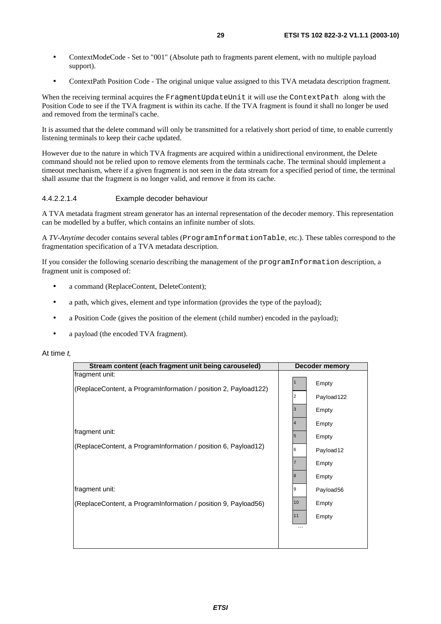- ContextModeCode Set to "001" (Absolute path to fragments parent element, with no multiple payload support).
- ContextPath Position Code The original unique value assigned to this TVA metadata description fragment.

When the receiving terminal acquires the FragmentUpdateUnit it will use the ContextPath along with the Position Code to see if the TVA fragment is within its cache. If the TVA fragment is found it shall no longer be used and removed from the terminal's cache.

It is assumed that the delete command will only be transmitted for a relatively short period of time, to enable currently listening terminals to keep their cache updated.

However due to the nature in which TVA fragments are acquired within a unidirectional environment, the Delete command should not be relied upon to remove elements from the terminals cache. The terminal should implement a timeout mechanism, where if a given fragment is not seen in the data stream for a specified period of time, the terminal shall assume that the fragment is no longer valid, and remove it from its cache.

#### 4.4.2.2.1.4 Example decoder behaviour

A TVA metadata fragment stream generator has an internal representation of the decoder memory. This representation can be modelled by a buffer, which contains an infinite number of slots.

A *TV-Anytime* decoder contains several tables (ProgramInformationTable, etc.). These tables correspond to the fragmentation specification of a TVA metadata description.

If you consider the following scenario describing the management of the programInformation description, a fragment unit is composed of:

- a command (ReplaceContent, DeleteContent);
- a path, which gives, element and type information (provides the type of the payload);
- a Position Code (gives the position of the element (child number) encoded in the payload);
- a payload (the encoded TVA fragment).

#### At time t.

| Stream content (each fragment unit being carouseled)                              |         | <b>Decoder memory</b> |
|-----------------------------------------------------------------------------------|---------|-----------------------|
| fragment unit:<br>(ReplaceContent, a ProgramInformation / position 2, Payload122) | 2       | Empty<br>Payload122   |
|                                                                                   | 3       | Empty                 |
| fragment unit:                                                                    | 5       | Empty<br>Empty        |
| (ReplaceContent, a ProgramInformation / position 6, Payload12)                    | 6       | Payload12<br>Empty    |
|                                                                                   | 8       | Empty                 |
| fragment unit:                                                                    | 19      | Payload56             |
| (ReplaceContent, a ProgramInformation / position 9, Payload56)                    | 10      | Empty                 |
|                                                                                   | 11<br>. | Empty                 |
|                                                                                   |         |                       |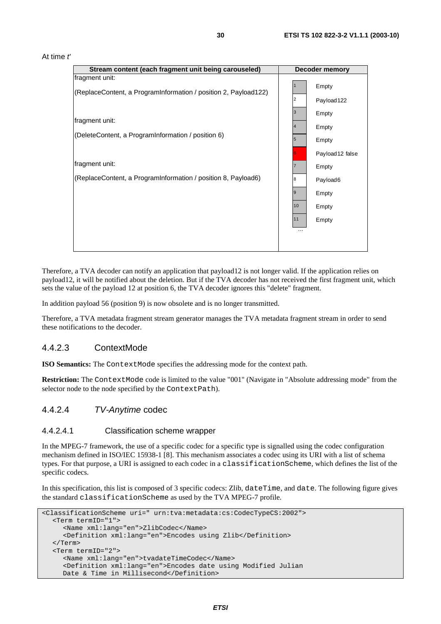| At time <i>t'</i> |  |  |  |
|-------------------|--|--|--|
|-------------------|--|--|--|



Therefore, a TVA decoder can notify an application that payload12 is not longer valid. If the application relies on payload12, it will be notified about the deletion. But if the TVA decoder has not received the first fragment unit, which sets the value of the payload 12 at position 6, the TVA decoder ignores this "delete" fragment.

In addition payload 56 (position 9) is now obsolete and is no longer transmitted.

Therefore, a TVA metadata fragment stream generator manages the TVA metadata fragment stream in order to send these notifications to the decoder.

#### 4.4.2.3 ContextMode

**ISO Semantics:** The ContextMode specifies the addressing mode for the context path.

**Restriction:** The ContextMode code is limited to the value "001" (Navigate in "Absolute addressing mode" from the selector node to the node specified by the ContextPath).

#### 4.4.2.4 TV-Anytime codec

#### 4.4.2.4.1 Classification scheme wrapper

In the MPEG-7 framework, the use of a specific codec for a specific type is signalled using the codec configuration mechanism defined in ISO/IEC 15938-1 [8]. This mechanism associates a codec using its URI with a list of schema types. For that purpose, a URI is assigned to each codec in a classificationScheme, which defines the list of the specific codecs.

In this specification, this list is composed of 3 specific codecs: Zlib, dateTime, and date. The following figure gives the standard classificationScheme as used by the TVA MPEG-7 profile.

```
<ClassificationScheme uri=" urn:tva:metadata:cs:CodecTypeCS:2002"> 
   <Term termID="1"> 
      <Name xml:lang="en">ZlibCodec</Name> 
      <Definition xml:lang="en">Encodes using Zlib</Definition> 
   </Term> 
   <Term termID="2"> 
      <Name xml:lang="en">tvadateTimeCodec</Name> 
      <Definition xml:lang="en">Encodes date using Modified Julian 
      Date & Time in Millisecond</Definition>
```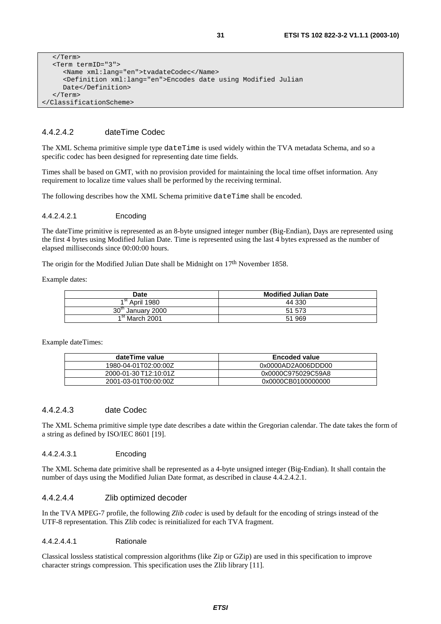```
 </Term> 
   <Term termID="3"> 
      <Name xml:lang="en">tvadateCodec</Name> 
      <Definition xml:lang="en">Encodes date using Modified Julian 
      Date</Definition> 
   </Term> 
</ClassificationScheme>
```
#### 4.4.2.4.2 dateTime Codec

The XML Schema primitive simple type dateTime is used widely within the TVA metadata Schema, and so a specific codec has been designed for representing date time fields.

Times shall be based on GMT, with no provision provided for maintaining the local time offset information. Any requirement to localize time values shall be performed by the receiving terminal.

The following describes how the XML Schema primitive dateTime shall be encoded.

#### 4.4.2.4.2.1 Encoding

The dateTime primitive is represented as an 8-byte unsigned integer number (Big-Endian), Days are represented using the first 4 bytes using Modified Julian Date. Time is represented using the last 4 bytes expressed as the number of elapsed milliseconds since 00:00:00 hours.

The origin for the Modified Julian Date shall be Midnight on  $17<sup>th</sup>$  November 1858.

Example dates:

| Date                             | <b>Modified Julian Date</b> |
|----------------------------------|-----------------------------|
| 1 <sup>st</sup> April 1980       | 44 330                      |
| 30 <sup>th</sup><br>January 2000 | 51 573                      |
| 1 <sup>st</sup> March 2001       | 51 969                      |

Example dateTimes:

| dateTime value        | <b>Encoded value</b> |
|-----------------------|----------------------|
| 1980-04-01T02:00:00Z  | 0x0000AD2A006DDD00   |
| 2000-01-30 T12:10:01Z | 0x0000C975029C59A8   |
| 2001-03-01T00:00:00Z  | 0x0000CB0100000000   |

#### 4.4.2.4.3 date Codec

The XML Schema primitive simple type date describes a date within the Gregorian calendar. The date takes the form of a string as defined by ISO/IEC 8601 [19].

#### 4.4.2.4.3.1 Encoding

The XML Schema date primitive shall be represented as a 4-byte unsigned integer (Big-Endian). It shall contain the number of days using the Modified Julian Date format, as described in clause 4.4.2.4.2.1.

#### 4.4.2.4.4 Zlib optimized decoder

In the TVA MPEG-7 profile, the following *Zlib codec* is used by default for the encoding of strings instead of the UTF-8 representation. This Zlib codec is reinitialized for each TVA fragment.

#### 4.4.2.4.4.1 Rationale

Classical lossless statistical compression algorithms (like Zip or GZip) are used in this specification to improve character strings compression. This specification uses the Zlib library [11].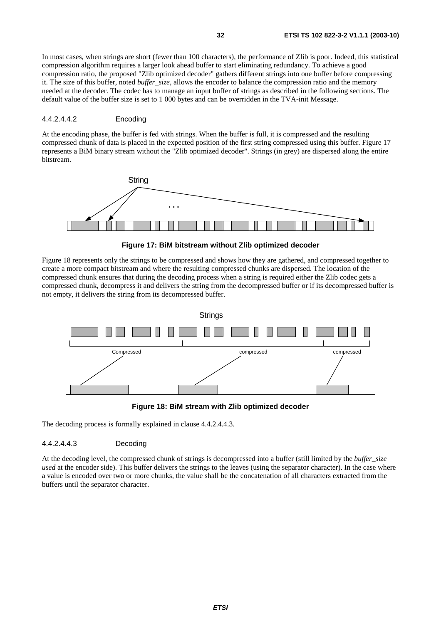In most cases, when strings are short (fewer than 100 characters), the performance of Zlib is poor. Indeed, this statistical compression algorithm requires a larger look ahead buffer to start eliminating redundancy. To achieve a good compression ratio, the proposed "Zlib optimized decoder" gathers different strings into one buffer before compressing it. The size of this buffer, noted *buffer* size, allows the encoder to balance the compression ratio and the memory needed at the decoder. The codec has to manage an input buffer of strings as described in the following sections. The default value of the buffer size is set to 1 000 bytes and can be overridden in the TVA-init Message.

#### 4.4.2.4.4.2 Encoding

At the encoding phase, the buffer is fed with strings. When the buffer is full, it is compressed and the resulting compressed chunk of data is placed in the expected position of the first string compressed using this buffer. Figure 17 represents a BiM binary stream without the "Zlib optimized decoder". Strings (in grey) are dispersed along the entire bitstream.



**Figure 17: BiM bitstream without Zlib optimized decoder** 

Figure 18 represents only the strings to be compressed and shows how they are gathered, and compressed together to create a more compact bitstream and where the resulting compressed chunks are dispersed. The location of the compressed chunk ensures that during the decoding process when a string is required either the Zlib codec gets a compressed chunk, decompress it and delivers the string from the decompressed buffer or if its decompressed buffer is not empty, it delivers the string from its decompressed buffer.



**Figure 18: BiM stream with Zlib optimized decoder** 

The decoding process is formally explained in clause 4.4.2.4.4.3.

#### 4.4.2.4.4.3 Decoding

At the decoding level, the compressed chunk of strings is decompressed into a buffer (still limited by the *buffer*\_*size used* at the encoder side). This buffer delivers the strings to the leaves (using the separator character). In the case where a value is encoded over two or more chunks, the value shall be the concatenation of all characters extracted from the buffers until the separator character.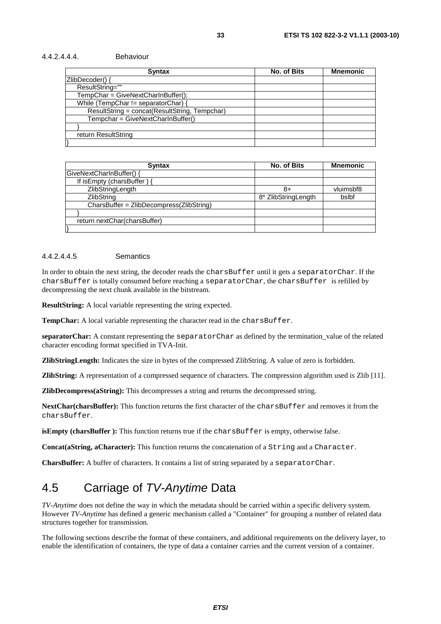#### 4.4.2.4.4.4. Behaviour

| <b>Syntax</b>                                 | <b>No. of Bits</b> | <b>Mnemonic</b> |  |
|-----------------------------------------------|--------------------|-----------------|--|
| ZlibDecoder() {                               |                    |                 |  |
| ResultString=""                               |                    |                 |  |
| $TempChar = GivenNextCharInBuffer();$         |                    |                 |  |
| While (TempChar != separatorChar) {           |                    |                 |  |
| ResultString = concat(ResultString, Tempchar) |                    |                 |  |
| Tempchar = GiveNextCharInBuffer()             |                    |                 |  |
|                                               |                    |                 |  |
| return ResultString                           |                    |                 |  |
|                                               |                    |                 |  |

| <b>Syntax</b>                            | No. of Bits         | <b>Mnemonic</b> |
|------------------------------------------|---------------------|-----------------|
| GiveNextCharInBuffer() {                 |                     |                 |
| If is Empty (chars Buffer) {             |                     |                 |
| ZlibStringLength                         | 8+                  | vluimsbf8       |
| <b>ZlibString</b>                        | 8* ZlibStringLength | bslbf           |
| CharsBuffer = ZlibDecompress(ZlibString) |                     |                 |
|                                          |                     |                 |
| return nextChar(charsBuffer)             |                     |                 |
|                                          |                     |                 |

#### 4.4.2.4.4.5 Semantics

In order to obtain the next string, the decoder reads the charsBuffer until it gets a separatorChar. If the charsBuffer is totally consumed before reaching a separatorChar, the charsBuffer is refilled by decompressing the next chunk available in the bitstream.

**ResultString:** A local variable representing the string expected.

**TempChar:** A local variable representing the character read in the charsBuffer.

**separatorChar:** A constant representing the separatorChar as defined by the termination\_value of the related character encoding format specified in TVA-Init.

**ZlibStringLength:** Indicates the size in bytes of the compressed ZlibString. A value of zero is forbidden.

**ZlibString:** A representation of a compressed sequence of characters. The compression algorithm used is Zlib [11].

**ZlibDecompress(aString):** This decompresses a string and returns the decompressed string.

NextChar(charsBuffer): This function returns the first character of the charsBuffer and removes it from the charsBuffer.

**isEmpty (charsBuffer ):** This function returns true if the charsBuffer is empty, otherwise false.

**Concat(aString, aCharacter):** This function returns the concatenation of a String and a Character.

**CharsBuffer:** A buffer of characters. It contains a list of string separated by a separatorChar.

# 4.5 Carriage of TV-Anytime Data

*TV-Anytime* does not define the way in which the metadata should be carried within a specific delivery system. However *TV-Anytime* has defined a generic mechanism called a "Container" for grouping a number of related data structures together for transmission.

The following sections describe the format of these containers, and additional requirements on the delivery layer, to enable the identification of containers, the type of data a container carries and the current version of a container.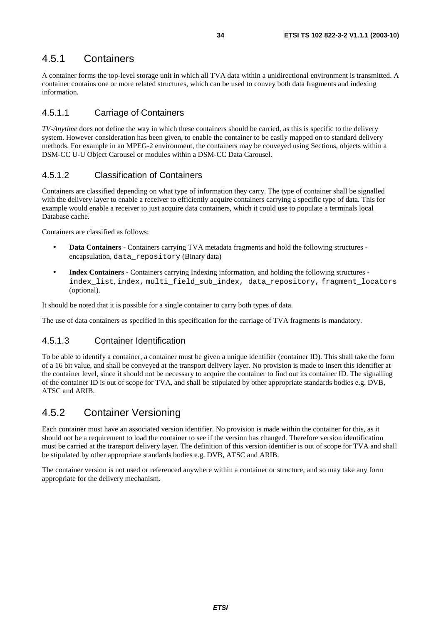# 4.5.1 Containers

A container forms the top-level storage unit in which all TVA data within a unidirectional environment is transmitted. A container contains one or more related structures, which can be used to convey both data fragments and indexing information.

#### 4.5.1.1 Carriage of Containers

*TV-Anytime* does not define the way in which these containers should be carried, as this is specific to the delivery system. However consideration has been given, to enable the container to be easily mapped on to standard delivery methods. For example in an MPEG-2 environment, the containers may be conveyed using Sections, objects within a DSM-CC U-U Object Carousel or modules within a DSM-CC Data Carousel.

#### 4.5.1.2 Classification of Containers

Containers are classified depending on what type of information they carry. The type of container shall be signalled with the delivery layer to enable a receiver to efficiently acquire containers carrying a specific type of data. This for example would enable a receiver to just acquire data containers, which it could use to populate a terminals local Database cache.

Containers are classified as follows:

- **Data Containers** Containers carrying TVA metadata fragments and hold the following structures encapsulation, data repository (Binary data)
- **Index Containers** Containers carrying Indexing information, and holding the following structures index\_list, index, multi\_field\_sub\_index, data\_repository, fragment\_locators (optional).

It should be noted that it is possible for a single container to carry both types of data.

The use of data containers as specified in this specification for the carriage of TVA fragments is mandatory.

#### 4.5.1.3 Container Identification

To be able to identify a container, a container must be given a unique identifier (container ID). This shall take the form of a 16 bit value, and shall be conveyed at the transport delivery layer. No provision is made to insert this identifier at the container level, since it should not be necessary to acquire the container to find out its container ID. The signalling of the container ID is out of scope for TVA, and shall be stipulated by other appropriate standards bodies e.g. DVB, ATSC and ARIB.

## 4.5.2 Container Versioning

Each container must have an associated version identifier. No provision is made within the container for this, as it should not be a requirement to load the container to see if the version has changed. Therefore version identification must be carried at the transport delivery layer. The definition of this version identifier is out of scope for TVA and shall be stipulated by other appropriate standards bodies e.g. DVB, ATSC and ARIB.

The container version is not used or referenced anywhere within a container or structure, and so may take any form appropriate for the delivery mechanism.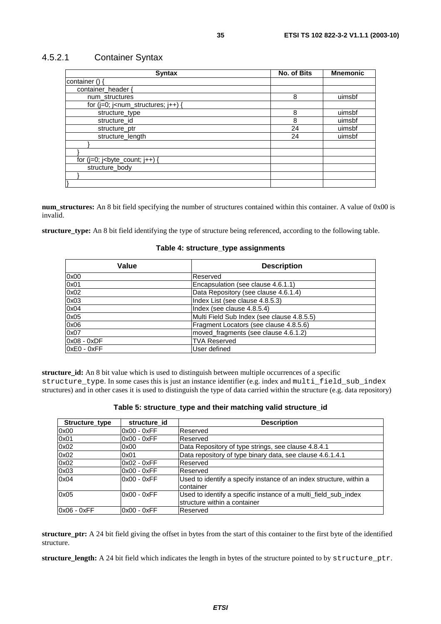| <b>Syntax</b>                                                                                                                           | No. of Bits | <b>Mnemonic</b> |
|-----------------------------------------------------------------------------------------------------------------------------------------|-------------|-----------------|
| container $() \{$                                                                                                                       |             |                 |
| container_header {                                                                                                                      |             |                 |
| num structures                                                                                                                          | 8           | uimsbf          |
| for $(j=0; j<$ num_structures; $j++$ ) {                                                                                                |             |                 |
| structure_type                                                                                                                          | 8           | uimsbf          |
| structure id                                                                                                                            | 8           | uimsbf          |
| structure_ptr                                                                                                                           | 24          | uimsbf          |
| structure_length                                                                                                                        | 24          | uimsbf          |
|                                                                                                                                         |             |                 |
|                                                                                                                                         |             |                 |
| for $(j=0; j0)$ is $j0$ is $j0$ is $j0$ is $j0$ in $j0$ is $j0$ in $j0$ is $j0$ in $j0$ in $j0$ in $j0$ in $j0$ in $j0$ in $j0$ in $j<$ |             |                 |
| structure_body                                                                                                                          |             |                 |
|                                                                                                                                         |             |                 |
|                                                                                                                                         |             |                 |

**num\_structures:** An 8 bit field specifying the number of structures contained within this container. A value of 0x00 is invalid.

**structure\_type:** An 8 bit field identifying the type of structure being referenced, according to the following table.

#### **Table 4: structure\_type assignments**

| Value         | <b>Description</b>                         |
|---------------|--------------------------------------------|
| 0x00          | Reserved                                   |
| 0x01          | Encapsulation (see clause 4.6.1.1)         |
| 0x02          | Data Repository (see clause 4.6.1.4)       |
| 0x03          | Index List (see clause 4.8.5.3)            |
| 0x04          | Index (see clause 4.8.5.4)                 |
| 0x05          | Multi Field Sub Index (see clause 4.8.5.5) |
| 0x06          | Fragment Locators (see clause 4.8.5.6)     |
| 0x07          | moved fragments (see clause 4.6.1.2)       |
| $0x08 - 0xDF$ | <b>TVA Reserved</b>                        |
| OxEO - OxFF   | User defined                               |

**structure\_id:** An 8 bit value which is used to distinguish between multiple occurrences of a specific structure\_type. In some cases this is just an instance identifier (e.g. index and multi\_field\_sub\_index structures) and in other cases it is used to distinguish the type of data carried within the structure (e.g. data repository)

| Structure type | structure id  | <b>Description</b>                                                                               |
|----------------|---------------|--------------------------------------------------------------------------------------------------|
| 0x00           | $0x00 - 0xFF$ | <b>Reserved</b>                                                                                  |
| 0x01           | $0x00 - 0xFF$ | <b>Reserved</b>                                                                                  |
| 0x02           | 0x00          | Data Repository of type strings, see clause 4.8.4.1                                              |
| 0x02           | 0x01          | Data repository of type binary data, see clause 4.6.1.4.1                                        |
| 0x02           | $0x02 - 0xFF$ | <b>Reserved</b>                                                                                  |
| 0x03           | $0x00 - 0xFF$ | Reserved                                                                                         |
| 0x04           | l0x00 - 0xFF  | Used to identify a specify instance of an index structure, within a<br>container                 |
| 0x05           | $0x00 - 0xFF$ | Used to identify a specific instance of a multi_field_sub_index<br>Istructure within a container |
| $0x06 - 0xFF$  | $0x00 - 0xFF$ | <b>Reserved</b>                                                                                  |

**Table 5: structure\_type and their matching valid structure\_id** 

**structure** ptr: A 24 bit field giving the offset in bytes from the start of this container to the first byte of the identified structure.

**structure\_length:** A 24 bit field which indicates the length in bytes of the structure pointed to by structure\_ptr.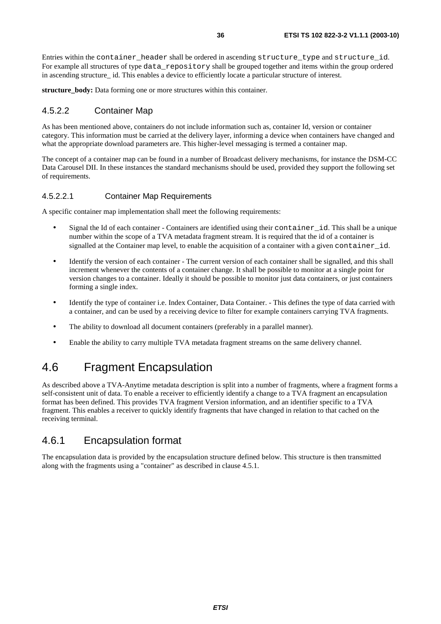Entries within the container\_header shall be ordered in ascending structure\_type and structure\_id. For example all structures of type data\_repository shall be grouped together and items within the group ordered in ascending structure id. This enables a device to efficiently locate a particular structure of interest.

**structure\_body:** Data forming one or more structures within this container.

#### 4.5.2.2 Container Map

As has been mentioned above, containers do not include information such as, container Id, version or container category. This information must be carried at the delivery layer, informing a device when containers have changed and what the appropriate download parameters are. This higher-level messaging is termed a container map.

The concept of a container map can be found in a number of Broadcast delivery mechanisms, for instance the DSM-CC Data Carousel DII. In these instances the standard mechanisms should be used, provided they support the following set of requirements.

#### 4.5.2.2.1 Container Map Requirements

A specific container map implementation shall meet the following requirements:

- Signal the Id of each container Containers are identified using their container id. This shall be a unique number within the scope of a TVA metadata fragment stream. It is required that the id of a container is signalled at the Container map level, to enable the acquisition of a container with a given container id.
- Identify the version of each container The current version of each container shall be signalled, and this shall increment whenever the contents of a container change. It shall be possible to monitor at a single point for version changes to a container. Ideally it should be possible to monitor just data containers, or just containers forming a single index.
- Identify the type of container i.e. Index Container, Data Container. This defines the type of data carried with a container, and can be used by a receiving device to filter for example containers carrying TVA fragments.
- The ability to download all document containers (preferably in a parallel manner).
- Enable the ability to carry multiple TVA metadata fragment streams on the same delivery channel.

# 4.6 Fragment Encapsulation

As described above a TVA-Anytime metadata description is split into a number of fragments, where a fragment forms a self-consistent unit of data. To enable a receiver to efficiently identify a change to a TVA fragment an encapsulation format has been defined. This provides TVA fragment Version information, and an identifier specific to a TVA fragment. This enables a receiver to quickly identify fragments that have changed in relation to that cached on the receiving terminal.

# 4.6.1 Encapsulation format

The encapsulation data is provided by the encapsulation structure defined below. This structure is then transmitted along with the fragments using a "container" as described in clause 4.5.1.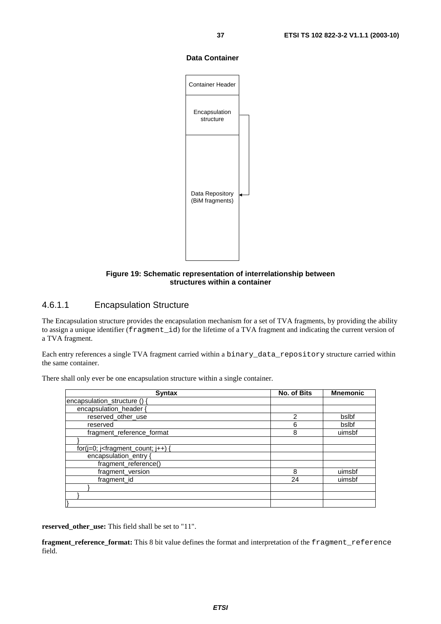#### **Data Container**



#### **Figure 19: Schematic representation of interrelationship between structures within a container**

#### 4.6.1.1 Encapsulation Structure

The Encapsulation structure provides the encapsulation mechanism for a set of TVA fragments, by providing the ability to assign a unique identifier (fragment\_id) for the lifetime of a TVA fragment and indicating the current version of a TVA fragment.

Each entry references a single TVA fragment carried within a binary\_data\_repository structure carried within the same container.

| <b>Syntax</b>                                                                        | No. of Bits | <b>Mnemonic</b> |
|--------------------------------------------------------------------------------------|-------------|-----------------|
| encapsulation structure $() \n\$                                                     |             |                 |
| encapsulation_header {                                                               |             |                 |
| reserved other use                                                                   | 2           | bslbf           |
| reserved                                                                             | 6           | bslbf           |
| fragment_reference_format                                                            | 8           | uimsbf          |
|                                                                                      |             |                 |
| for(j=0; j <fragment_count; j++)="" td="" {<=""><td></td><td></td></fragment_count;> |             |                 |
| encapsulation_entry {                                                                |             |                 |
| fragment_reference()                                                                 |             |                 |
| fragment_version                                                                     | 8           | uimsbf          |
| fragment_id                                                                          | 24          | uimsbf          |
|                                                                                      |             |                 |
|                                                                                      |             |                 |
|                                                                                      |             |                 |

There shall only ever be one encapsulation structure within a single container.

**reserved\_other\_use:** This field shall be set to "11".

**fragment\_reference\_format:** This 8 bit value defines the format and interpretation of the fragment\_reference field.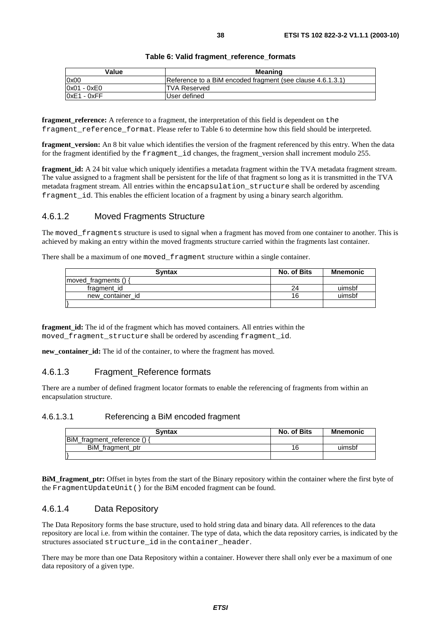| Table 6: Valid fragment_reference_formats |  |
|-------------------------------------------|--|
|-------------------------------------------|--|

| Value         | Meaning                                                    |
|---------------|------------------------------------------------------------|
| 0x00          | Reference to a BiM encoded fragment (see clause 4.6.1.3.1) |
| $0x01 - 0xE0$ | <b>TVA Reserved</b>                                        |
| $0xE1 - 0xFF$ | User defined                                               |

**fragment** reference: A reference to a fragment, the interpretation of this field is dependent on the fragment reference format. Please refer to Table 6 to determine how this field should be interpreted.

**fragment\_version:** An 8 bit value which identifies the version of the fragment referenced by this entry. When the data for the fragment identified by the fragment id changes, the fragment version shall increment modulo 255.

**fragment id:** A 24 bit value which uniquely identifies a metadata fragment within the TVA metadata fragment stream. The value assigned to a fragment shall be persistent for the life of that fragment so long as it is transmitted in the TVA metadata fragment stream. All entries within the encapsulation\_structure shall be ordered by ascending fragment id. This enables the efficient location of a fragment by using a binary search algorithm.

#### 4.6.1.2 Moved Fragments Structure

The moved fragments structure is used to signal when a fragment has moved from one container to another. This is achieved by making an entry within the moved fragments structure carried within the fragments last container.

There shall be a maximum of one moved\_fragment structure within a single container.

| <b>Syntax</b>           | No. of Bits | Mnemonic |
|-------------------------|-------------|----------|
| moved fragments $() \{$ |             |          |
| fragment id             | 24          | uimsbf   |
| new container id        | 16          | uimsbf   |
|                         |             |          |

**fragment\_id:** The id of the fragment which has moved containers. All entries within the moved\_fragment\_structure shall be ordered by ascending fragment\_id.

**new\_container\_id:** The id of the container, to where the fragment has moved.

#### 4.6.1.3 Fragment\_Reference formats

There are a number of defined fragment locator formats to enable the referencing of fragments from within an encapsulation structure.

#### 4.6.1.3.1 Referencing a BiM encoded fragment

| <b>Syntax</b>             | No. of Bits | <b>Mnemonic</b> |
|---------------------------|-------------|-----------------|
| BiM_fragment_reference () |             |                 |
| BiM fragment ptr          | 16          | uimsbf          |
|                           |             |                 |

**BiM\_fragment\_ptr:** Offset in bytes from the start of the Binary repository within the container where the first byte of the FragmentUpdateUnit() for the BiM encoded fragment can be found.

#### 4.6.1.4 Data Repository

The Data Repository forms the base structure, used to hold string data and binary data. All references to the data repository are local i.e. from within the container. The type of data, which the data repository carries, is indicated by the structures associated structure\_id in the container\_header.

There may be more than one Data Repository within a container. However there shall only ever be a maximum of one data repository of a given type.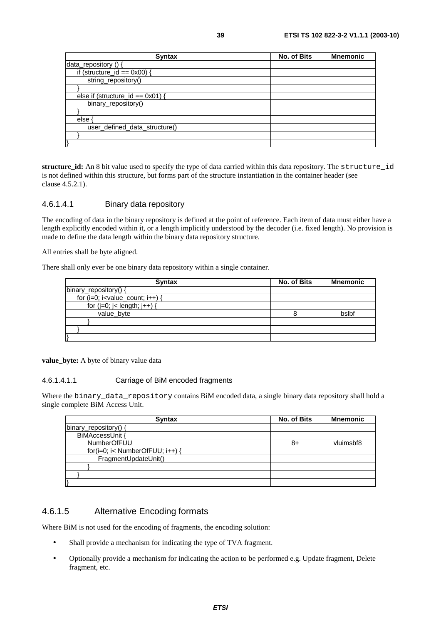| <b>Syntax</b>                       | No. of Bits | <b>Mnemonic</b> |
|-------------------------------------|-------------|-----------------|
| data_repository () {                |             |                 |
| if (structure_id == $0x00$ ) {      |             |                 |
| string_repository()                 |             |                 |
|                                     |             |                 |
| else if (structure_id == $0x01$ ) { |             |                 |
| binary_repository()                 |             |                 |
|                                     |             |                 |
| else                                |             |                 |
| user defined data structure()       |             |                 |
|                                     |             |                 |
|                                     |             |                 |

structure id: An 8 bit value used to specify the type of data carried within this data repository. The structure id is not defined within this structure, but forms part of the structure instantiation in the container header (see clause 4.5.2.1).

#### 4.6.1.4.1 Binary data repository

The encoding of data in the binary repository is defined at the point of reference. Each item of data must either have a length explicitly encoded within it, or a length implicitly understood by the decoder (i.e. fixed length). No provision is made to define the data length within the binary data repository structure.

All entries shall be byte aligned.

There shall only ever be one binary data repository within a single container.

| <b>Syntax</b>                         | No. of Bits | <b>Mnemonic</b> |
|---------------------------------------|-------------|-----------------|
| binary_repository() {                 |             |                 |
| for $(i=0; i<$ value_count; $i++$ ) { |             |                 |
| for $(i=0; j<$ length; $j++)$ {       |             |                 |
| value_byte                            |             | bslbf           |
|                                       |             |                 |
|                                       |             |                 |
|                                       |             |                 |

#### **value\_byte:** A byte of binary value data

#### 4.6.1.4.1.1 Carriage of BiM encoded fragments

Where the binary\_data\_repository contains BiM encoded data, a single binary data repository shall hold a single complete BiM Access Unit.

| <b>Syntax</b>                   | No. of Bits | <b>Mnemonic</b> |
|---------------------------------|-------------|-----------------|
| binary_repository() {           |             |                 |
| BiMAccessUnit {                 |             |                 |
| <b>NumberOfFUU</b>              | 8+          | vluimsbf8       |
| for(i=0; i< NumberOfFUU; i++) { |             |                 |
| FragmentUpdateUnit()            |             |                 |
|                                 |             |                 |
|                                 |             |                 |
|                                 |             |                 |

#### 4.6.1.5 Alternative Encoding formats

Where BiM is not used for the encoding of fragments, the encoding solution:

- Shall provide a mechanism for indicating the type of TVA fragment.
- Optionally provide a mechanism for indicating the action to be performed e.g. Update fragment, Delete fragment, etc.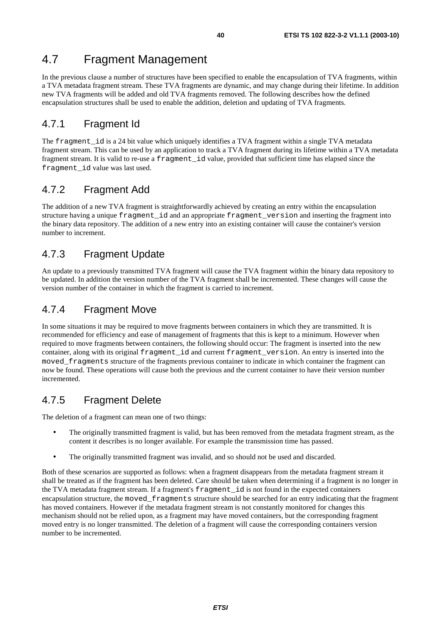# 4.7 Fragment Management

In the previous clause a number of structures have been specified to enable the encapsulation of TVA fragments, within a TVA metadata fragment stream. These TVA fragments are dynamic, and may change during their lifetime. In addition new TVA fragments will be added and old TVA fragments removed. The following describes how the defined encapsulation structures shall be used to enable the addition, deletion and updating of TVA fragments.

# 4.7.1 Fragment Id

The fragment\_id is a 24 bit value which uniquely identifies a TVA fragment within a single TVA metadata fragment stream. This can be used by an application to track a TVA fragment during its lifetime within a TVA metadata fragment stream. It is valid to re-use a fragment id value, provided that sufficient time has elapsed since the fragment\_id value was last used.

# 4.7.2 Fragment Add

The addition of a new TVA fragment is straightforwardly achieved by creating an entry within the encapsulation structure having a unique fragment\_id and an appropriate fragment\_version and inserting the fragment into the binary data repository. The addition of a new entry into an existing container will cause the container's version number to increment.

# 4.7.3 Fragment Update

An update to a previously transmitted TVA fragment will cause the TVA fragment within the binary data repository to be updated. In addition the version number of the TVA fragment shall be incremented. These changes will cause the version number of the container in which the fragment is carried to increment.

# 4.7.4 Fragment Move

In some situations it may be required to move fragments between containers in which they are transmitted. It is recommended for efficiency and ease of management of fragments that this is kept to a minimum. However when required to move fragments between containers, the following should occur: The fragment is inserted into the new container, along with its original fragment\_id and current fragment\_version. An entry is inserted into the moved fragments structure of the fragments previous container to indicate in which container the fragment can now be found. These operations will cause both the previous and the current container to have their version number incremented.

# 4.7.5 Fragment Delete

The deletion of a fragment can mean one of two things:

- The originally transmitted fragment is valid, but has been removed from the metadata fragment stream, as the content it describes is no longer available. For example the transmission time has passed.
- The originally transmitted fragment was invalid, and so should not be used and discarded.

Both of these scenarios are supported as follows: when a fragment disappears from the metadata fragment stream it shall be treated as if the fragment has been deleted. Care should be taken when determining if a fragment is no longer in the TVA metadata fragment stream. If a fragment's fragment\_id is not found in the expected containers encapsulation structure, the moved\_fragments structure should be searched for an entry indicating that the fragment has moved containers. However if the metadata fragment stream is not constantly monitored for changes this mechanism should not be relied upon, as a fragment may have moved containers, but the corresponding fragment moved entry is no longer transmitted. The deletion of a fragment will cause the corresponding containers version number to be incremented.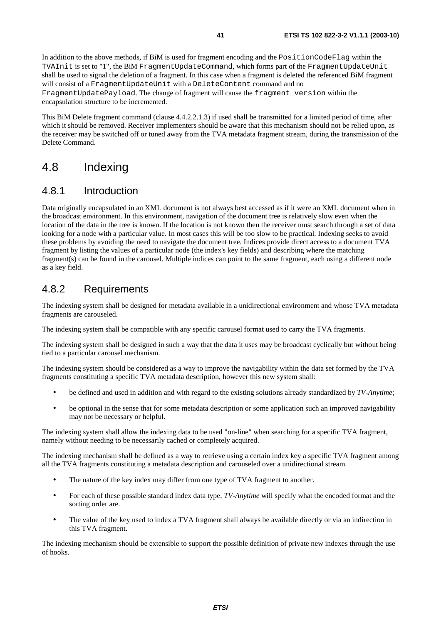encapsulation structure to be incremented.

This BiM Delete fragment command (clause 4.4.2.2.1.3) if used shall be transmitted for a limited period of time, after which it should be removed. Receiver implementers should be aware that this mechanism should not be relied upon, as the receiver may be switched off or tuned away from the TVA metadata fragment stream, during the transmission of the Delete Command.

# 4.8 Indexing

### 4.8.1 Introduction

Data originally encapsulated in an XML document is not always best accessed as if it were an XML document when in the broadcast environment. In this environment, navigation of the document tree is relatively slow even when the location of the data in the tree is known. If the location is not known then the receiver must search through a set of data looking for a node with a particular value. In most cases this will be too slow to be practical. Indexing seeks to avoid these problems by avoiding the need to navigate the document tree. Indices provide direct access to a document TVA fragment by listing the values of a particular node (the index's key fields) and describing where the matching fragment(s) can be found in the carousel. Multiple indices can point to the same fragment, each using a different node as a key field.

# 4.8.2 Requirements

The indexing system shall be designed for metadata available in a unidirectional environment and whose TVA metadata fragments are carouseled.

The indexing system shall be compatible with any specific carousel format used to carry the TVA fragments.

The indexing system shall be designed in such a way that the data it uses may be broadcast cyclically but without being tied to a particular carousel mechanism.

The indexing system should be considered as a way to improve the navigability within the data set formed by the TVA fragments constituting a specific TVA metadata description, however this new system shall:

- be defined and used in addition and with regard to the existing solutions already standardized by *TV-Anytime*;
- be optional in the sense that for some metadata description or some application such an improved navigability may not be necessary or helpful.

The indexing system shall allow the indexing data to be used "on-line" when searching for a specific TVA fragment, namely without needing to be necessarily cached or completely acquired.

The indexing mechanism shall be defined as a way to retrieve using a certain index key a specific TVA fragment among all the TVA fragments constituting a metadata description and carouseled over a unidirectional stream.

- The nature of the key index may differ from one type of TVA fragment to another.
- For each of these possible standard index data type, *TV-Anytime* will specify what the encoded format and the sorting order are.
- The value of the key used to index a TVA fragment shall always be available directly or via an indirection in this TVA fragment.

The indexing mechanism should be extensible to support the possible definition of private new indexes through the use of hooks.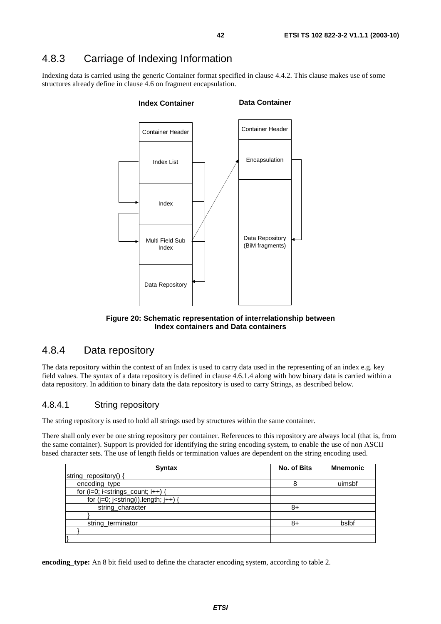# 4.8.3 Carriage of Indexing Information

Indexing data is carried using the generic Container format specified in clause 4.4.2. This clause makes use of some structures already define in clause 4.6 on fragment encapsulation.



#### **Figure 20: Schematic representation of interrelationship between Index containers and Data containers**

## 4.8.4 Data repository

The data repository within the context of an Index is used to carry data used in the representing of an index e.g. key field values. The syntax of a data repository is defined in clause 4.6.1.4 along with how binary data is carried within a data repository. In addition to binary data the data repository is used to carry Strings, as described below.

### 4.8.4.1 String repository

The string repository is used to hold all strings used by structures within the same container.

There shall only ever be one string repository per container. References to this repository are always local (that is, from the same container). Support is provided for identifying the string encoding system, to enable the use of non ASCII based character sets. The use of length fields or termination values are dependent on the string encoding used.

| <b>Syntax</b>                                  | No. of Bits | <b>Mnemonic</b> |
|------------------------------------------------|-------------|-----------------|
| string_repository() {                          |             |                 |
| encoding_type                                  |             | uimsbf          |
| for $(i=0; i<$ strings_count; $i++$ ) {        |             |                 |
| for $(j=0; j<$ string $(i)$ .length; $j++$ ) { |             |                 |
| string_character                               | 8+          |                 |
|                                                |             |                 |
| string terminator                              | 8+          | bslbf           |
|                                                |             |                 |
|                                                |             |                 |

**encoding\_type:** An 8 bit field used to define the character encoding system, according to table 2.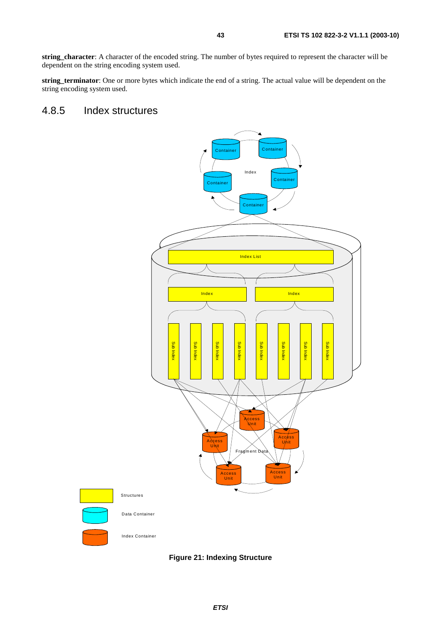**string\_character**: A character of the encoded string. The number of bytes required to represent the character will be dependent on the string encoding system used.

**string\_terminator**: One or more bytes which indicate the end of a string. The actual value will be dependent on the string encoding system used.

# 4.8.5 Index structures



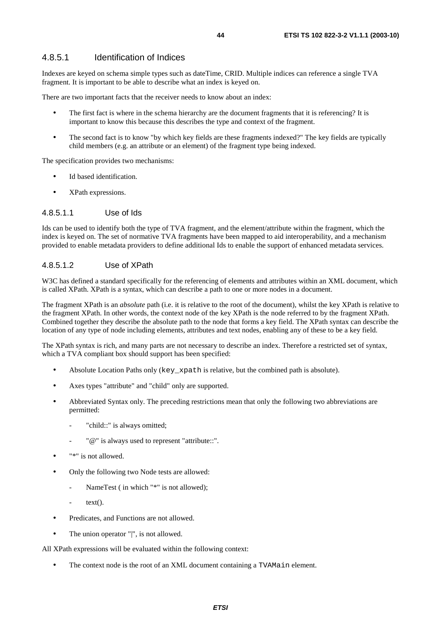#### 4.8.5.1 Identification of Indices

Indexes are keyed on schema simple types such as dateTime, CRID. Multiple indices can reference a single TVA fragment. It is important to be able to describe what an index is keyed on.

There are two important facts that the receiver needs to know about an index:

- The first fact is where in the schema hierarchy are the document fragments that it is referencing? It is important to know this because this describes the type and context of the fragment.
- The second fact is to know "by which key fields are these fragments indexed?" The key fields are typically child members (e.g. an attribute or an element) of the fragment type being indexed.

The specification provides two mechanisms:

- Id based identification.
- XPath expressions.

#### 4.8.5.1.1 Use of Ids

Ids can be used to identify both the type of TVA fragment, and the element/attribute within the fragment, which the index is keyed on. The set of normative TVA fragments have been mapped to aid interoperability, and a mechanism provided to enable metadata providers to define additional Ids to enable the support of enhanced metadata services.

#### 4.8.5.1.2 Use of XPath

W3C has defined a standard specifically for the referencing of elements and attributes within an XML document, which is called XPath. XPath is a syntax, which can describe a path to one or more nodes in a document.

The fragment XPath is an *absolute* path (i.e. it is relative to the root of the document), whilst the key XPath is relative to the fragment XPath. In other words, the context node of the key XPath is the node referred to by the fragment XPath. Combined together they describe the absolute path to the node that forms a key field. The XPath syntax can describe the location of any type of node including elements, attributes and text nodes, enabling any of these to be a key field.

The XPath syntax is rich, and many parts are not necessary to describe an index. Therefore a restricted set of syntax, which a TVA compliant box should support has been specified:

- Absolute Location Paths only (key xpath is relative, but the combined path is absolute).
- Axes types "attribute" and "child" only are supported.
- Abbreviated Syntax only. The preceding restrictions mean that only the following two abbreviations are permitted:
	- "child::" is always omitted;
	- "@" is always used to represent "attribute::".
- "\*" is not allowed.
- Only the following two Node tests are allowed:
	- NameTest (in which "\*" is not allowed);
		- $text()$ .
- Predicates, and Functions are not allowed.
- The union operator "|", is not allowed.

All XPath expressions will be evaluated within the following context:

The context node is the root of an XML document containing a TVAMain element.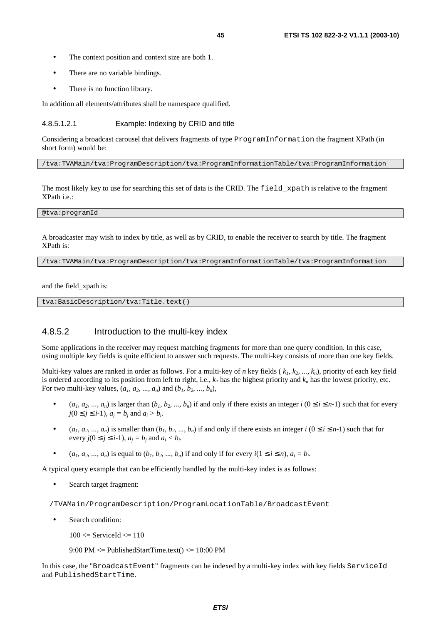- The context position and context size are both 1.
- There are no variable bindings.
- There is no function library.

In addition all elements/attributes shall be namespace qualified.

#### 4.8.5.1.2.1 Example: Indexing by CRID and title

Considering a broadcast carousel that delivers fragments of type ProgramInformation the fragment XPath (in short form) would be:

/tva:TVAMain/tva:ProgramDescription/tva:ProgramInformationTable/tva:ProgramInformation

The most likely key to use for searching this set of data is the CRID. The field\_xpath is relative to the fragment XPath i.e.:

@tva:programId

A broadcaster may wish to index by title, as well as by CRID, to enable the receiver to search by title. The fragment XPath is:

/tva:TVAMain/tva:ProgramDescription/tva:ProgramInformationTable/tva:ProgramInformation

and the field\_xpath is:

tva:BasicDescription/tva:Title.text()

### 4.8.5.2 Introduction to the multi-key index

Some applications in the receiver may request matching fragments for more than one query condition. In this case, using multiple key fields is quite efficient to answer such requests. The multi-key consists of more than one key fields.

Multi-key values are ranked in order as follows. For a multi-key of *n* key fields  $(k_l, k_2, ..., k_n)$ , priority of each key field is ordered according to its position from left to right, i.e.,  $k_l$  has the highest priority and  $k_n$  has the lowest priority, etc. For two multi-key values,  $(a_1, a_2, ..., a_n)$  and  $(b_1, b_2, ..., b_n)$ ,

- $(a_1, a_2, ..., a_n)$  is larger than  $(b_1, b_2, ..., b_n)$  if and only if there exists an integer  $i$  ( $0 \le i \le n-1$ ) such that for every  $j(0 \leq j \leq i-1), a_i = b_i$  and  $a_i > b_i$ .
- ( $a_1, a_2, ..., a_n$ ) is smaller than  $(b_1, b_2, ..., b_n)$  if and only if there exists an integer  $i$  ( $0 \le i \le n-1$ ) such that for every  $j(0 \leq j \leq i-1)$ ,  $a_i = b_i$  and  $a_i < b_i$ .
- (*a<sub>1</sub>, a<sub>2</sub>, ..., a<sub>n</sub>*) is equal to  $(b_1, b_2, ..., b_n)$  if and only if for every  $i(1 \le i \le n)$ ,  $a_i = b_i$ .

A typical query example that can be efficiently handled by the multi-key index is as follows:

Search target fragment:

/TVAMain/ProgramDescription/ProgramLocationTable/BroadcastEvent

Search condition:

 $100 \leq$  ServiceId  $\leq$  110

9:00 PM  $\leq$  PublishedStartTime.text()  $\leq$  10:00 PM

In this case, the "BroadcastEvent" fragments can be indexed by a multi-key index with key fields ServiceId and PublishedStartTime.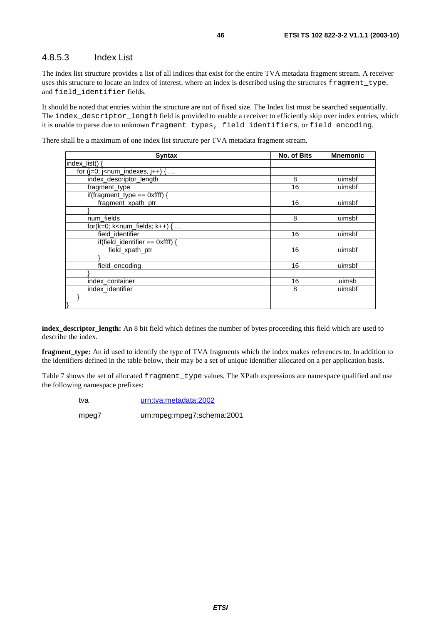#### 4.8.5.3 Index List

The index list structure provides a list of all indices that exist for the entire TVA metadata fragment stream. A receiver uses this structure to locate an index of interest, where an index is described using the structures fragment\_type, and field identifier fields.

It should be noted that entries within the structure are not of fixed size. The Index list must be searched sequentially. The index\_descriptor\_length field is provided to enable a receiver to efficiently skip over index entries, which it is unable to parse due to unknown fragment\_types, field\_identifiers, or field\_encoding.

There shall be a maximum of one index list structure per TVA metadata fragment stream.

| <b>Syntax</b>                                                   | No. of Bits | <b>Mnemonic</b> |
|-----------------------------------------------------------------|-------------|-----------------|
| $index$ list().                                                 |             |                 |
| for ( $j=0$ ; $j$ <num_indexes, <math="">j++) { </num_indexes,> |             |                 |
| index_descriptor_length                                         | 8           | uimsbf          |
| fragment_type                                                   | 16          | uimsbf          |
| if(fragment_type == $0$ xffff) {                                |             |                 |
| fragment_xpath_ptr                                              | 16          | uimsbf          |
|                                                                 |             |                 |
| num_fields                                                      | 8           | uimsbf          |
| for( $k=0$ ; $k<$ num_fields; $k++$ ) {                         |             |                 |
| field identifier                                                | 16          | uimsbf          |
| if(field_identifier == $0$ xffff) {                             |             |                 |
| field_xpath_ptr                                                 | 16          | uimsbf          |
|                                                                 |             |                 |
| field encoding                                                  | 16          | uimsbf          |
|                                                                 |             |                 |
| index_container                                                 | 16          | uimsb           |
| index_identifier                                                | 8           | uimsbf          |
|                                                                 |             |                 |
|                                                                 |             |                 |

**index\_descriptor\_length:** An 8 bit field which defines the number of bytes proceeding this field which are used to describe the index.

**fragment\_type:** An id used to identify the type of TVA fragments which the index makes references to. In addition to the identifiers defined in the table below, their may be a set of unique identifier allocated on a per application basis.

Table 7 shows the set of allocated fragment\_type values. The XPath expressions are namespace qualified and use the following namespace prefixes:

tva [urn:tva:metadata:2002](http://www.tv-anytime.org/2002/metadata)

mpeg7 urn:mpeg:mpeg7:schema:2001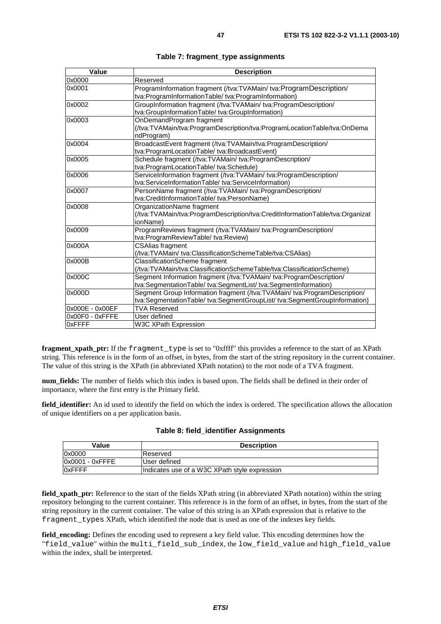| Value           | <b>Description</b>                                                            |
|-----------------|-------------------------------------------------------------------------------|
| 0x0000          | Reserved                                                                      |
| 0x0001          | ProgramInformation fragment (/tva:TVAMain/ tva:ProgramDescription/            |
|                 | tva:ProgramInformationTable/tva:ProgramInformation)                           |
| 0x0002          | GroupInformation fragment (/tva:TVAMain/ tva:ProgramDescription/              |
|                 | tva:GroupInformationTable/tva:GroupInformation)                               |
| 0x0003          | OnDemandProgram fragment                                                      |
|                 | (/tva:TVAMain/tva:ProgramDescription/tva:ProgramLocationTable/tva:OnDema      |
|                 | ndProgram)                                                                    |
| 0x0004          | BroadcastEvent fragment (/tva:TVAMain/tva:ProgramDescription/                 |
|                 | tva:ProgramLocationTable/ tva:BroadcastEvent)                                 |
| 0x0005          | Schedule fragment (/tva:TVAMain/ tva:ProgramDescription/                      |
|                 | tva:ProgramLocationTable/ tva:Schedule)                                       |
| 0x0006          | ServiceInformation fragment (/tva:TVAMain/ tva:ProgramDescription/            |
|                 | tva:ServiceInformationTable/ tva:ServiceInformation)                          |
| 0x0007          | PersonName fragment (/tva:TVAMain/ tva:ProgramDescription/                    |
|                 | tva:CreditInformationTable/tva:PersonName)                                    |
| 0x0008          | OrganizationName fragment                                                     |
|                 | (/tva:TVAMain/tva:ProgramDescription/tva:CreditInformationTable/tva:Organizat |
|                 | ionName)                                                                      |
| 0x0009          | ProgramReviews fragment (/tva:TVAMain/ tva:ProgramDescription/                |
|                 | tva:ProgramReviewTable/ tva:Review)                                           |
| 0x000A          | <b>CSAlias fragment</b>                                                       |
|                 | (/tva:TVAMain/ tva:ClassificationSchemeTable/tva:CSAlias)                     |
| 0x000B          | ClassificationScheme fragment                                                 |
|                 | (/tva:TVAMain/tva:ClassificationSchemeTable/tva:ClassificationScheme)         |
| 0x000C          | Segment Information fragment (/tva:TVAMain/ tva:ProgramDescription/           |
|                 | tva:SegmentationTable/ tva:SegmentList/ tva:SegmentInformation)               |
| 0x000D          | Segment Group Information fragment (/tva:TVAMain/ tva:ProgramDescription/     |
|                 | tva:SegmentationTable/ tva:SegmentGroupList/ tva:SegmentGroupInformation)     |
| 0x000E - 0x00EF | <b>TVA Reserved</b>                                                           |
| 0x00F0 - 0xFFFE | User defined                                                                  |
| 0xFFFF          | W3C XPath Expression                                                          |

**Table 7: fragment\_type assignments** 

**fragment\_xpath\_ptr:** If the fragment\_type is set to "0xffff" this provides a reference to the start of an XPath string. This reference is in the form of an offset, in bytes, from the start of the string repository in the current container. The value of this string is the XPath (in abbreviated XPath notation) to the root node of a TVA fragment.

**num\_fields:** The number of fields which this index is based upon. The fields shall be defined in their order of importance, where the first entry is the Primary field.

**field\_identifier:** An id used to identify the field on which the index is ordered. The specification allows the allocation of unique identifiers on a per application basis.

| Value           | <b>Description</b>                            |
|-----------------|-----------------------------------------------|
| 0x0000          | Reserved                                      |
| 0x0001 - 0xFFFE | User defined                                  |
| 0xFFFF          | Indicates use of a W3C XPath style expression |

#### **Table 8: field\_identifier Assignments**

**field\_xpath\_ptr:** Reference to the start of the fields XPath string (in abbreviated XPath notation) within the string repository belonging to the current container. This reference is in the form of an offset, in bytes, from the start of the string repository in the current container. The value of this string is an XPath expression that is relative to the fragment types XPath, which identified the node that is used as one of the indexes key fields.

**field\_encoding:** Defines the encoding used to represent a key field value. This encoding determines how the "field\_value" within the multi\_field\_sub\_index, the low\_field\_value and high\_field\_value within the index, shall be interpreted.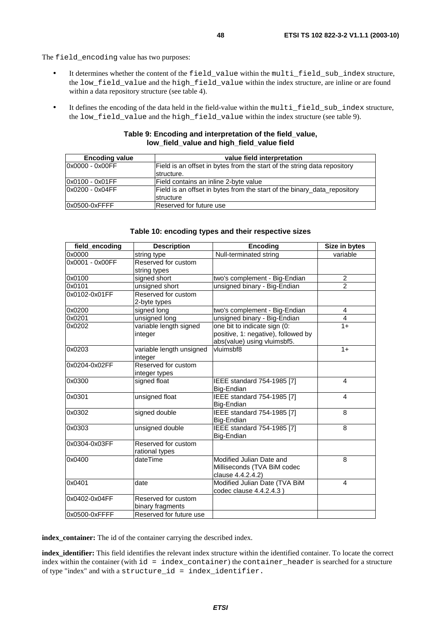The field\_encoding value has two purposes:

- It determines whether the content of the field\_value within the multi\_field\_sub\_index structure, the low\_field\_value and the high\_field\_value within the index structure, are inline or are found within a data repository structure (see table 4).
- It defines the encoding of the data held in the field-value within the multi\_field\_sub\_index structure, the low field value and the high field value within the index structure (see table 9).

#### **Table 9: Encoding and interpretation of the field\_value, low\_field\_value and high\_field\_value field**

| <b>Encoding value</b> | value field interpretation                                               |
|-----------------------|--------------------------------------------------------------------------|
| 0x0000 - 0x00FF       | Field is an offset in bytes from the start of the string data repository |
|                       | structure.                                                               |
| l0x0100 - 0x01FF      | Field contains an inline 2-byte value                                    |
| 0x0200 - 0x04FF       | Field is an offset in bytes from the start of the binary data repository |
|                       | structure                                                                |
| 0x0500-0xFFFF         | lReserved for future use                                                 |

| field_encoding  | <b>Description</b>       | <b>Encoding</b>                     | Size in bytes  |
|-----------------|--------------------------|-------------------------------------|----------------|
| 0x0000          | string type              | Null-terminated string              | variable       |
| 0x0001 - 0x00FF | Reserved for custom      |                                     |                |
|                 | string types             |                                     |                |
| 0x0100          | signed short             | two's complement - Big-Endian       | $\overline{c}$ |
| 0x0101          | unsigned short           | unsigned binary - Big-Endian        | $\overline{2}$ |
| 0x0102-0x01FF   | Reserved for custom      |                                     |                |
|                 | 2-byte types             |                                     |                |
| 0x0200          | signed long              | two's complement - Big-Endian       | 4              |
| 0x0201          | unsigned long            | unsigned binary - Big-Endian        | 4              |
| 0x0202          | variable length signed   | one bit to indicate sign (0:        | $1+$           |
|                 | integer                  | positive, 1: negative), followed by |                |
|                 |                          | abs(value) using vluimsbf5.         |                |
| 0x0203          | variable length unsigned | vluimsbf8                           | $1+$           |
|                 | integer                  |                                     |                |
| 0x0204-0x02FF   | Reserved for custom      |                                     |                |
|                 | integer types            |                                     |                |
| 0x0300          | signed float             | IEEE standard 754-1985 [7]          | 4              |
|                 |                          | Big-Endian                          |                |
| 0x0301          | unsigned float           | IEEE standard 754-1985 [7]          | $\overline{4}$ |
|                 |                          | Big-Endian                          |                |
| 0x0302          | signed double            | IEEE standard 754-1985 [7]          | 8              |
|                 |                          | Big-Endian                          |                |
| 0x0303          | unsigned double          | IEEE standard 754-1985 [7]          | 8              |
|                 |                          | Big-Endian                          |                |
| 0x0304-0x03FF   | Reserved for custom      |                                     |                |
|                 | rational types           |                                     |                |
| 0x0400          | dateTime                 | Modified Julian Date and            | 8              |
|                 |                          | Milliseconds (TVA BiM codec         |                |
|                 |                          | clause 4.4.2.4.2)                   |                |
| 0x0401          | date                     | Modified Julian Date (TVA BiM       | 4              |
|                 |                          | codec clause 4.4.2.4.3)             |                |
| 0x0402-0x04FF   | Reserved for custom      |                                     |                |
|                 | binary fragments         |                                     |                |
| 0x0500-0xFFFF   | Reserved for future use  |                                     |                |

#### **Table 10: encoding types and their respective sizes**

**index\_container:** The id of the container carrying the described index.

**index\_identifier:** This field identifies the relevant index structure within the identified container. To locate the correct index within the container (with id = index\_container) the container\_header is searched for a structure of type "index" and with a structure\_id = index\_identifier.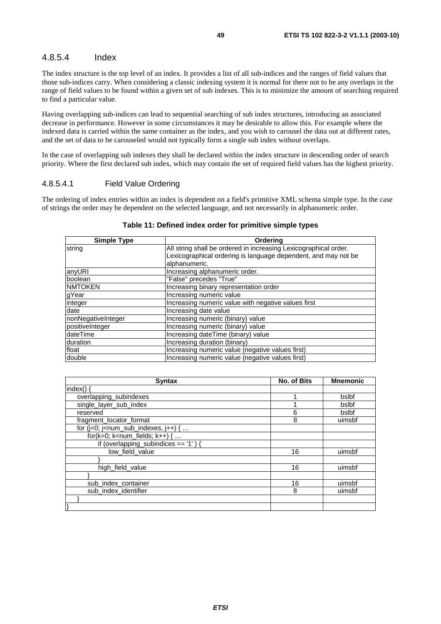#### 4.8.5.4 Index

The index structure is the top level of an index. It provides a list of all sub-indices and the ranges of field values that those sub-indices carry. When considering a classic indexing system it is normal for there not to be any overlaps in the range of field values to be found within a given set of sub indexes. This is to minimize the amount of searching required to find a particular value.

Having overlapping sub-indices can lead to sequential searching of sub index structures, introducing an associated decrease in performance. However in some circumstances it may be desirable to allow this. For example where the indexed data is carried within the same container as the index, and you wish to carousel the data out at different rates, and the set of data to be carouseled would not typically form a single sub index without overlaps.

In the case of overlapping sub indexes they shall be declared within the index structure in descending order of search priority. Where the first declared sub index, which may contain the set of required field values has the highest priority.

#### 4.8.5.4.1 Field Value Ordering

The ordering of index entries within an index is dependent on a field's primitive XML schema simple type. In the case of strings the order may be dependent on the selected language, and not necessarily in alphanumeric order.

| <b>Simple Type</b> | Ordering                                                         |
|--------------------|------------------------------------------------------------------|
| string             | All string shall be ordered in increasing Lexicographical order. |
|                    | Lexicographical ordering is language dependent, and may not be   |
|                    | alphanumeric.                                                    |
| anyURI             | Increasing alphanumeric order.                                   |
| boolean            | "False" precedes "True"                                          |
| <b>NMTOKEN</b>     | Increasing binary representation order                           |
| gYear              | Increasing numeric value                                         |
| integer            | Increasing numeric value with negative values first              |
| date               | Increasing date value                                            |
| nonNegativeInteger | Increasing numeric (binary) value                                |
| positiveInteger    | Increasing numeric (binary) value                                |
| dateTime           | Increasing dateTime (binary) value                               |
| duration           | Increasing duration (binary)                                     |
| float              | Increasing numeric value (negative values first)                 |
| double             | Increasing numeric value (negative values first)                 |

#### **Table 11: Defined index order for primitive simple types**

| <b>Syntax</b>                            | No. of Bits | <b>Mnemonic</b> |
|------------------------------------------|-------------|-----------------|
| index()                                  |             |                 |
| overlapping_subindexes                   |             | bslbf           |
| single_layer_sub_index                   |             | bslbf           |
| reserved                                 | 6           | bslbf           |
| fragment locator format                  | 8           | uimsbf          |
| for $(i=0; j1 - num_sub_indexes, i++)$ { |             |                 |
| for( $k=0$ ; $k<$ num_fields; $k++$ ) {  |             |                 |
| if (overlapping_subindices == '1') {     |             |                 |
| low_field_value                          | 16          | uimsbf          |
|                                          |             |                 |
| high_field_value                         | 16          | uimsbf          |
|                                          |             |                 |
| sub index container                      | 16          | uimsbf          |
| sub_index_identifier                     | 8           | uimsbf          |
|                                          |             |                 |
|                                          |             |                 |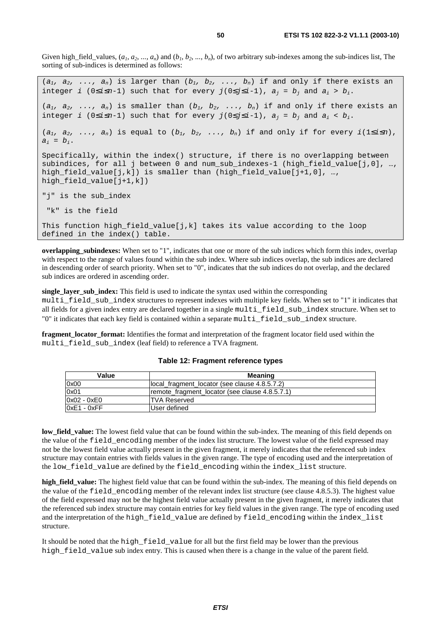Given high\_field\_values,  $(a_1, a_2, ..., a_n)$  and  $(b_1, b_2, ..., b_n)$ , of two arbitrary sub-indexes among the sub-indices list, The sorting of sub-indices is determined as follows:

 $(a_1, a_2, \ldots, a_n)$  is larger than  $(b_1, b_2, \ldots, b_n)$  if and only if there exists an integer i (0≤i≤n-1) such that for every  $j(0\le j\le i-1)$ ,  $a_i = b_i$  and  $a_i > b_i$ .  $(a_1, a_2, \ldots, a_n)$  is smaller than  $(b_1, b_2, \ldots, b_n)$  if and only if there exists an integer i (0≤i≤n-1) such that for every  $j(0\le j\le i-1)$ ,  $a_i = b_i$  and  $a_i < b_i$ .  $(a_1, a_2, \ldots, a_n)$  is equal to  $(b_1, b_2, \ldots, b_n)$  if and only if for every  $i(1 \le i \le n)$ ,  $a_i = b_i$ . Specifically, within the index() structure, if there is no overlapping between subindices, for all j between 0 and num\_sub\_indexes-1 (high\_field\_value[j,0], …, high field value[j,k]) is smaller than (high field value[j+1,0], …, high field value[ $j+1,k$ ]) "j" is the sub\_index "k" is the field This function high\_field\_value[j,k] takes its value according to the loop defined in the index() table.

**overlapping\_subindexes:** When set to "1", indicates that one or more of the sub indices which form this index, overlap with respect to the range of values found within the sub index. Where sub indices overlap, the sub indices are declared in descending order of search priority. When set to "0", indicates that the sub indices do not overlap, and the declared sub indices are ordered in ascending order.

**single\_layer\_sub\_index:** This field is used to indicate the syntax used within the corresponding multi\_field\_sub\_index structures to represent indexes with multiple key fields. When set to "1" it indicates that all fields for a given index entry are declared together in a single multi field sub index structure. When set to "0" it indicates that each key field is contained within a separate multi\_field\_sub\_index structure.

**fragment\_locator\_format:** Identifies the format and interpretation of the fragment locator field used within the multi\_field\_sub\_index (leaf field) to reference a TVA fragment.

| Value         | Meaning                                        |  |
|---------------|------------------------------------------------|--|
| 0x00          | local fragment locator (see clause 4.8.5.7.2)  |  |
| 0x01          | remote_fragment_locator (see clause 4.8.5.7.1) |  |
| $0x02 - 0xE0$ | ITVA Reserved                                  |  |
| $0xE1 - 0xFF$ | User defined                                   |  |

#### **Table 12: Fragment reference types**

**low\_field\_value:** The lowest field value that can be found within the sub-index. The meaning of this field depends on the value of the field\_encoding member of the index list structure. The lowest value of the field expressed may not be the lowest field value actually present in the given fragment, it merely indicates that the referenced sub index structure may contain entries with fields values in the given range. The type of encoding used and the interpretation of the low field value are defined by the field encoding within the index list structure.

**high\_field\_value:** The highest field value that can be found within the sub-index. The meaning of this field depends on the value of the field\_encoding member of the relevant index list structure (see clause 4.8.5.3). The highest value of the field expressed may not be the highest field value actually present in the given fragment, it merely indicates that the referenced sub index structure may contain entries for key field values in the given range. The type of encoding used and the interpretation of the high\_field\_value are defined by field\_encoding within the index\_list structure.

It should be noted that the high\_field\_value for all but the first field may be lower than the previous high\_field\_value sub index entry. This is caused when there is a change in the value of the parent field.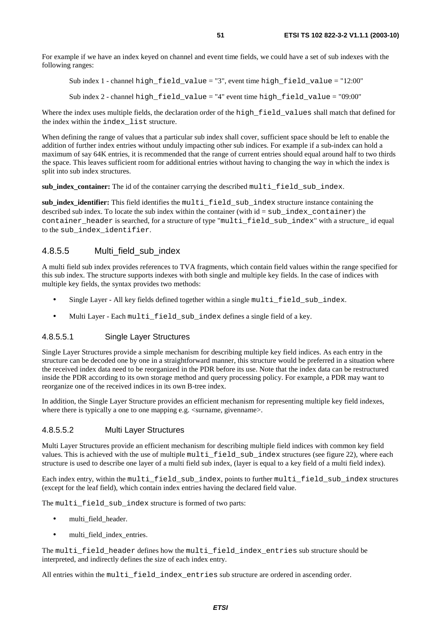For example if we have an index keyed on channel and event time fields, we could have a set of sub indexes with the following ranges:

Sub index 1 - channel high field value = "3", event time high field value = "12:00"

Sub index 2 - channel high field value = "4" event time high field value = "09:00"

Where the index uses multiple fields, the declaration order of the high field values shall match that defined for the index within the index\_list structure.

When defining the range of values that a particular sub index shall cover, sufficient space should be left to enable the addition of further index entries without unduly impacting other sub indices. For example if a sub-index can hold a maximum of say 64K entries, it is recommended that the range of current entries should equal around half to two thirds the space. This leaves sufficient room for additional entries without having to changing the way in which the index is split into sub index structures.

**sub\_index\_container:** The id of the container carrying the described multi\_field\_sub\_index.

**sub\_index\_identifier:** This field identifies the multi\_field\_sub\_index structure instance containing the described sub index. To locate the sub index within the container (with  $id = sub$  index container) the container header is searched, for a structure of type "multi field sub index" with a structure id equal to the sub\_index\_identifier.

#### 4.8.5.5 Multi\_field\_sub\_index

A multi field sub index provides references to TVA fragments, which contain field values within the range specified for this sub index. The structure supports indexes with both single and multiple key fields. In the case of indices with multiple key fields, the syntax provides two methods:

- Single Layer All key fields defined together within a single multi field sub index.
- Multi Layer Each multi\_field\_sub\_index defines a single field of a key.

#### 4.8.5.5.1 Single Layer Structures

Single Layer Structures provide a simple mechanism for describing multiple key field indices. As each entry in the structure can be decoded one by one in a straightforward manner, this structure would be preferred in a situation where the received index data need to be reorganized in the PDR before its use. Note that the index data can be restructured inside the PDR according to its own storage method and query processing policy. For example, a PDR may want to reorganize one of the received indices in its own B-tree index.

In addition, the Single Layer Structure provides an efficient mechanism for representing multiple key field indexes, where there is typically a one to one mapping e.g.  $\langle$  surname, given name.

#### 4.8.5.5.2 Multi Layer Structures

Multi Layer Structures provide an efficient mechanism for describing multiple field indices with common key field values. This is achieved with the use of multiple multilaged sub-index structures (see figure 22), where each structure is used to describe one layer of a multi field sub index, (layer is equal to a key field of a multi field index).

Each index entry, within the multi\_field\_sub\_index, points to further multi\_field\_sub\_index structures (except for the leaf field), which contain index entries having the declared field value.

The multi field sub index structure is formed of two parts:

- multi\_field\_header.
- multi field index entries.

The multi\_field\_header defines how the multi\_field\_index\_entries sub structure should be interpreted, and indirectly defines the size of each index entry.

All entries within the multi\_field\_index\_entries sub structure are ordered in ascending order.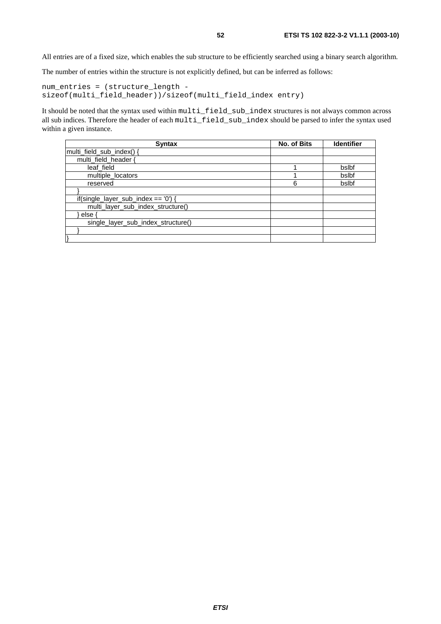All entries are of a fixed size, which enables the sub structure to be efficiently searched using a binary search algorithm.

The number of entries within the structure is not explicitly defined, but can be inferred as follows:

```
num_entries = (structure_length - 
sizeof(multi_field_header))/sizeof(multi_field_index entry)
```
It should be noted that the syntax used within multi\_field\_sub\_index structures is not always common across all sub indices. Therefore the header of each multi\_field\_sub\_index should be parsed to infer the syntax used within a given instance.

| Syntax                                 | No. of Bits | <b>Identifier</b> |
|----------------------------------------|-------------|-------------------|
| multi_field_sub_index() {              |             |                   |
| multi field header {                   |             |                   |
| leaf field                             |             | bslbf             |
| multiple locators                      |             | bslbf             |
| reserved                               | 6           | bslbf             |
|                                        |             |                   |
| if(single_layer_sub_index == $'0'$ ) { |             |                   |
| multi_layer_sub_index_structure()      |             |                   |
| else                                   |             |                   |
| single_layer_sub_index_structure()     |             |                   |
|                                        |             |                   |
|                                        |             |                   |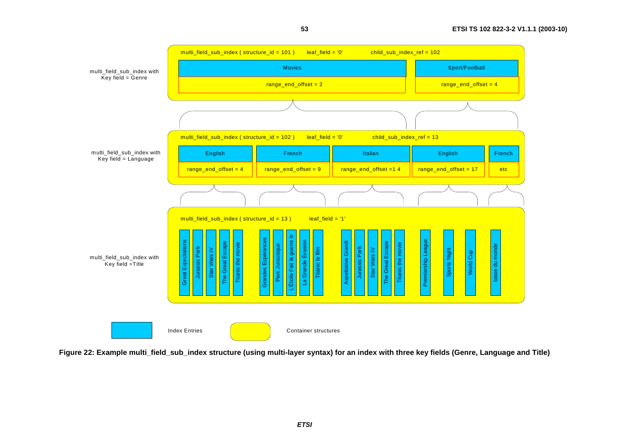

**53**

**Figure 22: Example multi\_field\_sub\_index structure (using multi-layer syntax) for an index with three key fields (Genre, Language and Title)**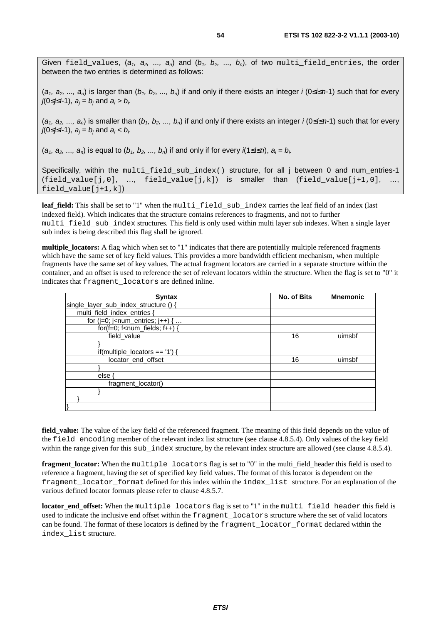Given field\_values,  $(a_1, a_2, ..., a_n)$  and  $(b_1, b_2, ..., b_n)$ , of two multi\_field\_entries, the order between the two entries is determined as follows:

 $(a_1, a_2, ..., a_n)$  is larger than  $(b_1, b_2, ..., b_n)$  if and only if there exists an integer i (0≤i≤n-1) such that for every  $j(0\leq j\leq i-1), a_j=b_j$  and  $a_i>b_i$ .

 $(a_1, a_2, ..., a_n)$  is smaller than  $(b_1, b_2, ..., b_n)$  if and only if there exists an integer i (0≤i≤n-1) such that for every  $j(0\leq j\leq i-1), a_j = b_j$  and  $a_i < b_i$ .

 $(a_1, a_2, ..., a_n)$  is equal to  $(b_1, b_2, ..., b_n)$  if and only if for every  $i(1 \leq i \leq n)$ ,  $a_i = b_i$ .

Specifically, within the multi\_field\_sub\_index() structure, for all j between 0 and num\_entries-1 (field\_value[j,0], …, field\_value[j,k]) is smaller than (field\_value[j+1,0], …, field\_value[j+1,k])

**leaf\_field:** This shall be set to "1" when the multi\_field\_sub\_index carries the leaf field of an index (last indexed field). Which indicates that the structure contains references to fragments, and not to further multi\_field\_sub\_index structures. This field is only used within multi layer sub indexes. When a single layer sub index is being described this flag shall be ignored.

**multiple** locators: A flag which when set to "1" indicates that there are potentially multiple referenced fragments which have the same set of key field values. This provides a more bandwidth efficient mechanism, when multiple fragments have the same set of key values. The actual fragment locators are carried in a separate structure within the container, and an offset is used to reference the set of relevant locators within the structure. When the flag is set to "0" it indicates that fragment\_locators are defined inline.

| <b>Syntax</b>                         | No. of Bits | <b>Mnemonic</b> |
|---------------------------------------|-------------|-----------------|
| single_layer_sub_index_structure () { |             |                 |
| multi_field_index_entries {           |             |                 |
| for $(i=0; j1 = 0; j2 = 0)$           |             |                 |
| $for(f=0; f$                          |             |                 |
| field_value                           | 16          | uimsbf          |
|                                       |             |                 |
| if(multiple_locators == '1') {        |             |                 |
| locator_end_offset                    | 16          | uimsbf          |
|                                       |             |                 |
| else                                  |             |                 |
| fragment locator()                    |             |                 |
|                                       |             |                 |
|                                       |             |                 |
|                                       |             |                 |

**field value:** The value of the key field of the referenced fragment. The meaning of this field depends on the value of the field\_encoding member of the relevant index list structure (see clause 4.8.5.4). Only values of the key field within the range given for this sub\_index structure, by the relevant index structure are allowed (see clause 4.8.5.4).

**fragment\_locator:** When the multiple\_locators flag is set to "0" in the multi\_field\_header this field is used to reference a fragment, having the set of specified key field values. The format of this locator is dependent on the fragment\_locator\_format defined for this index within the index\_list structure. For an explanation of the various defined locator formats please refer to clause 4.8.5.7.

**locator\_end\_offset:** When the multiple\_locators flag is set to "1" in the multi\_field\_header this field is used to indicate the inclusive end offset within the fragment\_locators structure where the set of valid locators can be found. The format of these locators is defined by the fragment locator format declared within the index\_list structure.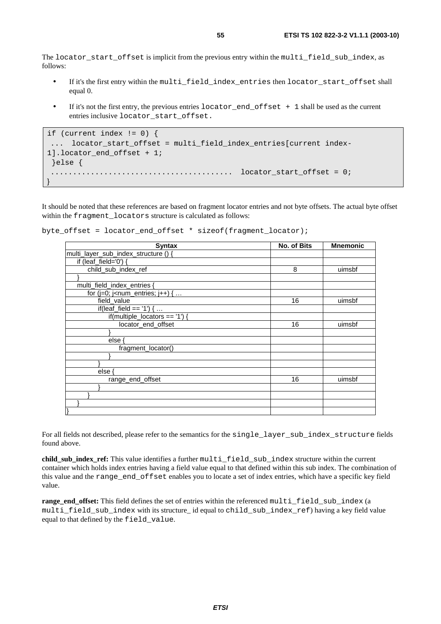The locator\_start\_offset is implicit from the previous entry within the multi\_field\_sub\_index, as follows:

- If it's the first entry within the multi\_field\_index\_entries then locator\_start\_offset shall equal 0.
- If it's not the first entry, the previous entries locator\_end\_offset + 1 shall be used as the current entries inclusive locator\_start\_offset.

```
if (current index != 0) { 
... locator start offset = multi field index entries[current index-
1].locator end offset + 1;
 }else { 
 ......................................... locator_start_offset = 0; 
}
```
It should be noted that these references are based on fragment locator entries and not byte offsets. The actual byte offset within the fragment locators structure is calculated as follows:

|  |  |  |  | byte_offset = locator_end_offset * sizeof(fragment_locator); |  |
|--|--|--|--|--------------------------------------------------------------|--|
|--|--|--|--|--------------------------------------------------------------|--|

| <b>Syntax</b>                                                      | No. of Bits | <b>Mnemonic</b> |
|--------------------------------------------------------------------|-------------|-----------------|
| multi_layer_sub_index_structure () {                               |             |                 |
| if (leaf_field='0') {                                              |             |                 |
| child_sub_index_ref                                                | 8           | uimsbf          |
|                                                                    |             |                 |
| multi_field_index_entries {                                        |             |                 |
| for (j=0; j <num_entries; <math="" j++)="">\{ \dots</num_entries;> |             |                 |
| field_value                                                        | 16          | uimsbf          |
| if(leaf_field == '1') $\{ \dots$                                   |             |                 |
| if(multiple_locators == '1') {                                     |             |                 |
| locator_end_offset                                                 | 16          | uimsbf          |
|                                                                    |             |                 |
| else (                                                             |             |                 |
| fragment_locator()                                                 |             |                 |
|                                                                    |             |                 |
|                                                                    |             |                 |
| else {                                                             |             |                 |
| range_end_offset                                                   | 16          | uimsbf          |
|                                                                    |             |                 |
|                                                                    |             |                 |
|                                                                    |             |                 |
|                                                                    |             |                 |

For all fields not described, please refer to the semantics for the single\_layer\_sub\_index\_structure fields found above.

child\_sub\_index\_ref: This value identifies a further multi\_field\_sub\_index structure within the current container which holds index entries having a field value equal to that defined within this sub index. The combination of this value and the range\_end\_offset enables you to locate a set of index entries, which have a specific key field value.

**range end offset:** This field defines the set of entries within the referenced multi field sub index (a multi field sub index with its structure id equal to child sub index ref) having a key field value equal to that defined by the field\_value.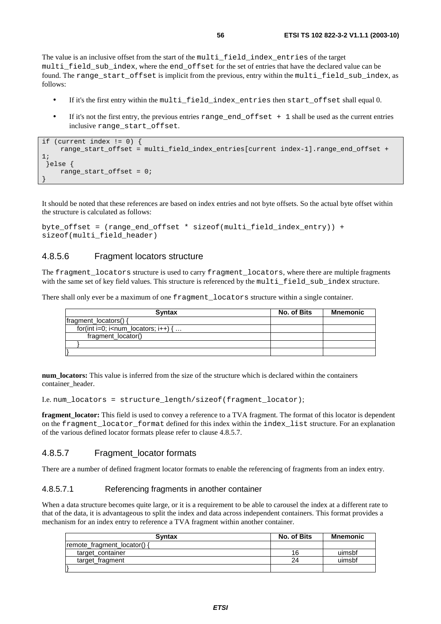The value is an inclusive offset from the start of the multi\_field\_index\_entries of the target multi field sub index, where the end offset for the set of entries that have the declared value can be found. The range\_start\_offset is implicit from the previous, entry within the multi\_field\_sub\_index, as follows:

- If it's the first entry within the multi\_field\_index\_entries then start\_offset shall equal 0.
- If it's not the first entry, the previous entries range end of f set  $+1$  shall be used as the current entries inclusive range\_start\_offset.

```
if (current index != 0) { 
      range_start_offset = multi_field_index_entries[current index-1].range_end_offset + 
1; 
  }else { 
      range_start_offset = 0; 
}
```
It should be noted that these references are based on index entries and not byte offsets. So the actual byte offset within the structure is calculated as follows:

byte\_offset = (range\_end\_offset \* sizeof(multi\_field\_index\_entry)) + sizeof(multi\_field\_header)

### 4.8.5.6 Fragment locators structure

The fragment locators structure is used to carry fragment locators, where there are multiple fragments with the same set of key field values. This structure is referenced by the multi\_field\_sub\_index structure.

There shall only ever be a maximum of one fragment locators structure within a single container.

| <b>Syntax</b>                                                    | No. of Bits | Mnemonic |
|------------------------------------------------------------------|-------------|----------|
| fragment_locators() {                                            |             |          |
| for(int i=0; i <num <math="" i++)="" locators;="">\{ \dots</num> |             |          |
| fragment locator()                                               |             |          |
|                                                                  |             |          |
|                                                                  |             |          |

**num\_locators:** This value is inferred from the size of the structure which is declared within the containers container\_header.

I.e. num\_locators = structure\_length/sizeof(fragment\_locator);

**fragment\_locator:** This field is used to convey a reference to a TVA fragment. The format of this locator is dependent on the fragment\_locator\_format defined for this index within the index\_list structure. For an explanation of the various defined locator formats please refer to clause 4.8.5.7.

#### 4.8.5.7 Fragment locator formats

There are a number of defined fragment locator formats to enable the referencing of fragments from an index entry.

#### 4.8.5.7.1 Referencing fragments in another container

When a data structure becomes quite large, or it is a requirement to be able to carousel the index at a different rate to that of the data, it is advantageous to split the index and data across independent containers. This format provides a mechanism for an index entry to reference a TVA fragment within another container.

| <b>Syntax</b>               | No. of Bits | Mnemonic |
|-----------------------------|-------------|----------|
| remote_fragment_locator() { |             |          |
| target container            | 16          | uimsbf   |
| target_fragment             | 24          | uimsbf   |
|                             |             |          |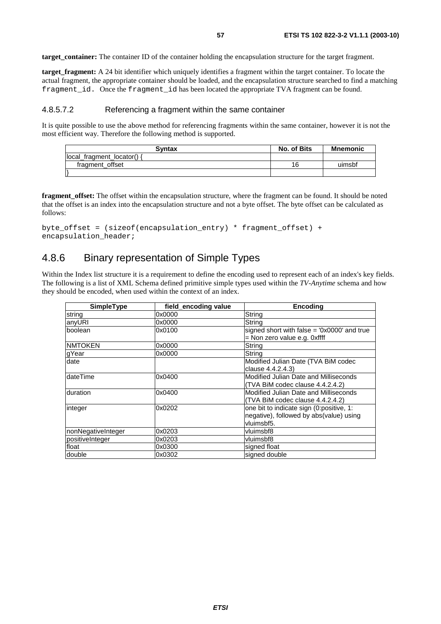**target container:** The container ID of the container holding the encapsulation structure for the target fragment.

**target\_fragment:** A 24 bit identifier which uniquely identifies a fragment within the target container. To locate the actual fragment, the appropriate container should be loaded, and the encapsulation structure searched to find a matching fragment id. Once the fragment id has been located the appropriate TVA fragment can be found.

#### 4.8.5.7.2 Referencing a fragment within the same container

It is quite possible to use the above method for referencing fragments within the same container, however it is not the most efficient way. Therefore the following method is supported.

| <b>Syntax</b>                | No. of Bits | <b>Mnemonic</b> |
|------------------------------|-------------|-----------------|
| $ local_f$ ragment_locator() |             |                 |
| fragment offset              | 16          | uimsbf          |
|                              |             |                 |

**fragment\_offset:** The offset within the encapsulation structure, where the fragment can be found. It should be noted that the offset is an index into the encapsulation structure and not a byte offset. The byte offset can be calculated as follows:

```
byte_offset = (sizeof(encapsulation_entry) * fragment_offset) + 
encapsulation header;
```
# 4.8.6 Binary representation of Simple Types

Within the Index list structure it is a requirement to define the encoding used to represent each of an index's key fields. The following is a list of XML Schema defined primitive simple types used within the *TV-Anytime* schema and how they should be encoded, when used within the context of an index.

| <b>SimpleType</b>  | field encoding value | <b>Encoding</b>                               |
|--------------------|----------------------|-----------------------------------------------|
| string             | 0x0000               | String                                        |
| anyURI             | 0x0000               | String                                        |
| boolean            | 0x0100               | signed short with false $=$ '0x0000' and true |
|                    |                      | = Non zero value e.g. 0xffff                  |
| <b>NMTOKEN</b>     | 0x0000               | String                                        |
| gYear              | 0x0000               | String                                        |
| date               |                      | Modified Julian Date (TVA BiM codec           |
|                    |                      | clause 4.4.2.4.3)                             |
| <b>dateTime</b>    | 0x0400               | Modified Julian Date and Milliseconds         |
|                    |                      | (TVA BiM codec clause 4.4.2.4.2)              |
| duration           | 0x0400               | Modified Julian Date and Milliseconds         |
|                    |                      | (TVA BiM codec clause 4.4.2.4.2)              |
| integer            | 0x0202               | one bit to indicate sign (0: positive, 1:     |
|                    |                      | negative), followed by abs(value) using       |
|                    |                      | vluimsbf5.                                    |
| nonNegativeInteger | 0x0203               | vluimsbf8                                     |
| positiveInteger    | 0x0203               | vluimsbf8                                     |
| float              | 0x0300               | signed float                                  |
| double             | 0x0302               | signed double                                 |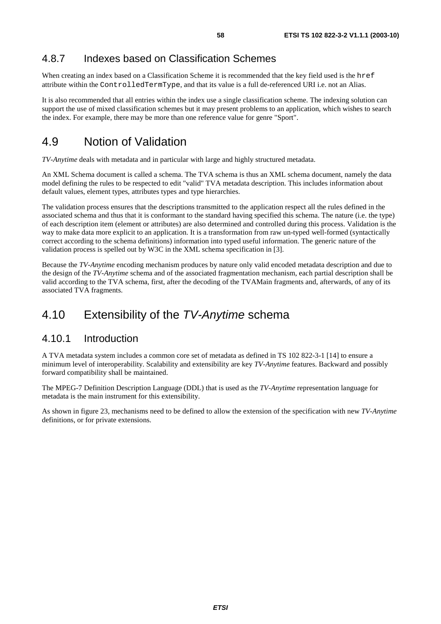# 4.8.7 Indexes based on Classification Schemes

When creating an index based on a Classification Scheme it is recommended that the key field used is the href attribute within the ControlledTermType, and that its value is a full de-referenced URI i.e. not an Alias.

It is also recommended that all entries within the index use a single classification scheme. The indexing solution can support the use of mixed classification schemes but it may present problems to an application, which wishes to search the index. For example, there may be more than one reference value for genre "Sport".

# 4.9 Notion of Validation

*TV-Anytime* deals with metadata and in particular with large and highly structured metadata.

An XML Schema document is called a schema. The TVA schema is thus an XML schema document, namely the data model defining the rules to be respected to edit "valid" TVA metadata description. This includes information about default values, element types, attributes types and type hierarchies.

The validation process ensures that the descriptions transmitted to the application respect all the rules defined in the associated schema and thus that it is conformant to the standard having specified this schema. The nature (i.e. the type) of each description item (element or attributes) are also determined and controlled during this process. Validation is the way to make data more explicit to an application. It is a transformation from raw un-typed well-formed (syntactically correct according to the schema definitions) information into typed useful information. The generic nature of the validation process is spelled out by W3C in the XML schema specification in [3].

Because the *TV-Anytime* encoding mechanism produces by nature only valid encoded metadata description and due to the design of the *TV-Anytime* schema and of the associated fragmentation mechanism, each partial description shall be valid according to the TVA schema, first, after the decoding of the TVAMain fragments and, afterwards, of any of its associated TVA fragments.

# 4.10 Extensibility of the TV-Anytime schema

### 4.10.1 Introduction

A TVA metadata system includes a common core set of metadata as defined in TS 102 822-3-1 [14] to ensure a minimum level of interoperability. Scalability and extensibility are key *TV-Anytime* features. Backward and possibly forward compatibility shall be maintained.

The MPEG-7 Definition Description Language (DDL) that is used as the *TV-Anytime* representation language for metadata is the main instrument for this extensibility.

As shown in figure 23, mechanisms need to be defined to allow the extension of the specification with new *TV-Anytime* definitions, or for private extensions.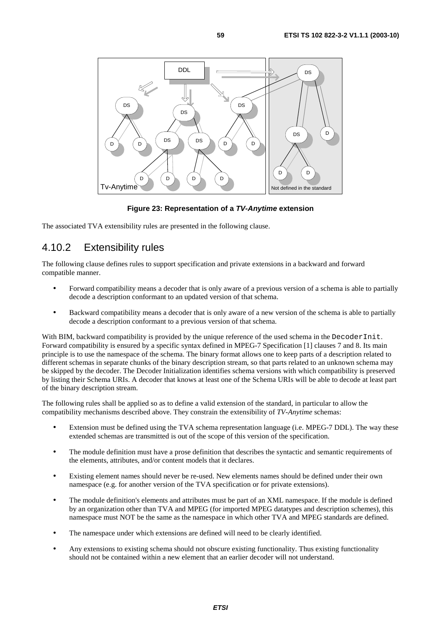

**Figure 23: Representation of a TV-Anytime extension** 

The associated TVA extensibility rules are presented in the following clause.

# 4.10.2 Extensibility rules

The following clause defines rules to support specification and private extensions in a backward and forward compatible manner.

- Forward compatibility means a decoder that is only aware of a previous version of a schema is able to partially decode a description conformant to an updated version of that schema.
- Backward compatibility means a decoder that is only aware of a new version of the schema is able to partially decode a description conformant to a previous version of that schema.

With BIM, backward compatibility is provided by the unique reference of the used schema in the DecoderInit. Forward compatibility is ensured by a specific syntax defined in MPEG-7 Specification [1] clauses 7 and 8. Its main principle is to use the namespace of the schema. The binary format allows one to keep parts of a description related to different schemas in separate chunks of the binary description stream, so that parts related to an unknown schema may be skipped by the decoder. The Decoder Initialization identifies schema versions with which compatibility is preserved by listing their Schema URIs. A decoder that knows at least one of the Schema URIs will be able to decode at least part of the binary description stream.

The following rules shall be applied so as to define a valid extension of the standard, in particular to allow the compatibility mechanisms described above. They constrain the extensibility of *TV-Anytime* schemas:

- Extension must be defined using the TVA schema representation language (i.e. MPEG-7 DDL). The way these extended schemas are transmitted is out of the scope of this version of the specification.
- The module definition must have a prose definition that describes the syntactic and semantic requirements of the elements, attributes, and/or content models that it declares.
- Existing element names should never be re-used. New elements names should be defined under their own namespace (e.g. for another version of the TVA specification or for private extensions).
- The module definition's elements and attributes must be part of an XML namespace. If the module is defined by an organization other than TVA and MPEG (for imported MPEG datatypes and description schemes), this namespace must NOT be the same as the namespace in which other TVA and MPEG standards are defined.
- The namespace under which extensions are defined will need to be clearly identified.
- Any extensions to existing schema should not obscure existing functionality. Thus existing functionality should not be contained within a new element that an earlier decoder will not understand.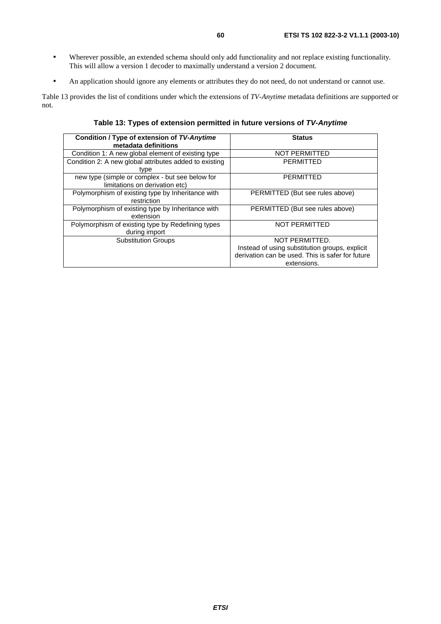- Wherever possible, an extended schema should only add functionality and not replace existing functionality. This will allow a version 1 decoder to maximally understand a version 2 document.
- An application should ignore any elements or attributes they do not need, do not understand or cannot use.

Table 13 provides the list of conditions under which the extensions of *TV-Anytime* metadata definitions are supported or not.

**Table 13: Types of extension permitted in future versions of TV-Anytime**

| Condition / Type of extension of TV-Anytime<br>metadata definitions               | <b>Status</b>                                    |
|-----------------------------------------------------------------------------------|--------------------------------------------------|
| Condition 1: A new global element of existing type                                | NOT PERMITTED                                    |
| Condition 2: A new global attributes added to existing<br>type                    | <b>PERMITTED</b>                                 |
| new type (simple or complex - but see below for<br>limitations on derivation etc) | <b>PERMITTED</b>                                 |
| Polymorphism of existing type by Inheritance with<br>restriction                  | PERMITTED (But see rules above)                  |
| Polymorphism of existing type by Inheritance with<br>extension                    | PERMITTED (But see rules above)                  |
| Polymorphism of existing type by Redefining types<br>during import                | <b>NOT PERMITTED</b>                             |
| <b>Substitution Groups</b>                                                        | NOT PERMITTED.                                   |
|                                                                                   | Instead of using substitution groups, explicit   |
|                                                                                   | derivation can be used. This is safer for future |
|                                                                                   | extensions.                                      |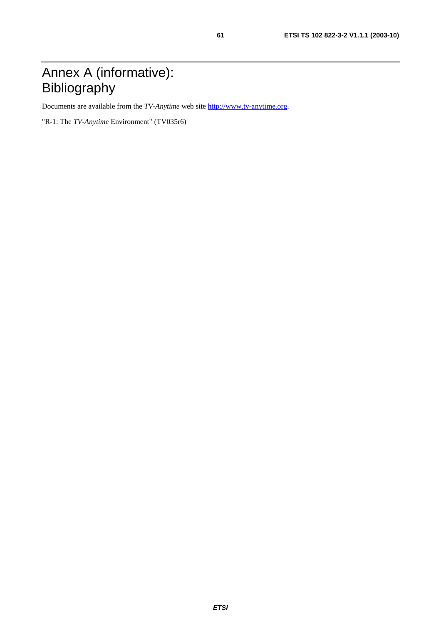# Annex A (informative): Bibliography

Documents are available from the *TV-Anytime* web site [http://www.tv-anytime.org](http://www.tv-anytime.org/).

"R-1: The *TV-Anytime* Environment" (TV035r6)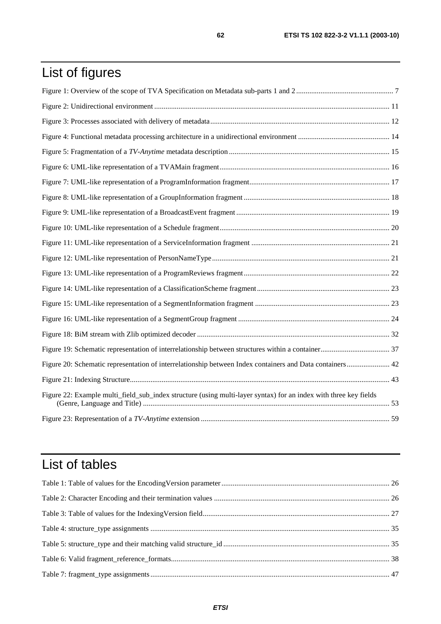# List of figures

| Figure 20: Schematic representation of interrelationship between Index containers and Data containers 42         |  |
|------------------------------------------------------------------------------------------------------------------|--|
|                                                                                                                  |  |
| Figure 22: Example multi_field_sub_index structure (using multi-layer syntax) for an index with three key fields |  |
|                                                                                                                  |  |

# List of tables